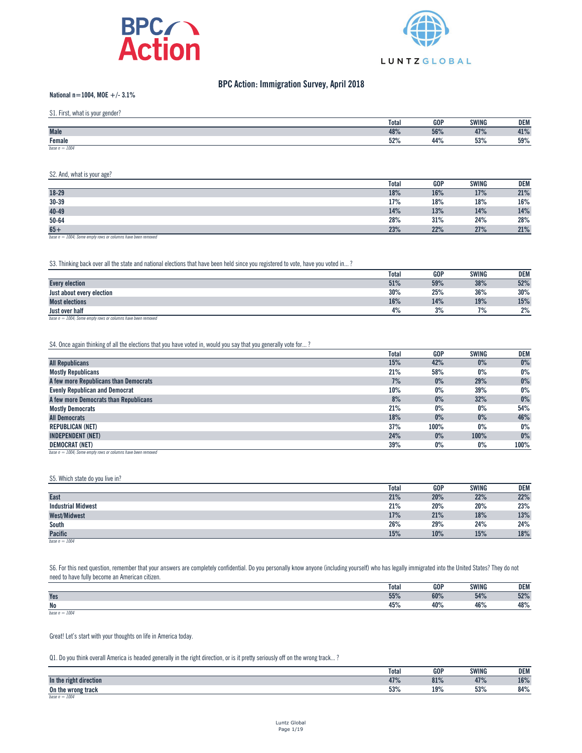



# **BPC Action: Immigration Survey, April 2018**

## **National n=1004, MOE +/- 3.1%**

S1. First, what is your gender?

| $01.1$ not, mut to your gondon. |              |            |              |     |
|---------------------------------|--------------|------------|--------------|-----|
|                                 | <b>Total</b> | <b>GOP</b> | <b>SWING</b> | DEM |
| <b>Male</b>                     | 48%          | 56%        | 47%          | 41% |
| Female                          | 52%          | 44%        | 53%          | 59% |
| base $n = 1004$                 |              |            |              |     |

#### S2. And, what is your age?

|           | <b>Total</b> | <b>GOP</b> | <b>SWING</b> | <b>DEM</b> |
|-----------|--------------|------------|--------------|------------|
| $18 - 29$ | 18%          | 16%        | 17%          | 21%        |
| $30 - 39$ | 17%          | 18%        | 18%          | 16%        |
| $40 - 49$ | 14%          | 13%        | 14%          | 14%        |
| $50 - 64$ | 28%          | 31%        | 24%          | 28%        |
| $65 +$    | 23%          | 22%        | 27%          | 21%        |

*base n = 1004; Some empty rows or columns have been removed*

S3. Thinking back over all the state and national elections that have been held since you registered to vote, have you voted in...?

|                                                                      | <b>Total</b> | <b>GOP</b> | <b>SWING</b> | <b>DEM</b> |
|----------------------------------------------------------------------|--------------|------------|--------------|------------|
| <b>Every election</b>                                                | 51%          | 59%        | 38%          | 52%        |
| Just about every election                                            | 30%          | 25%        | 36%          | 30%        |
| <b>Most elections</b>                                                | 16%          | 14%        | 19%          | 15%        |
| <b>Just over half</b>                                                | 4%           | 3%         | 7%           | 2%         |
| $h_{20000} = 1004$ , Came ampty rouse as askismas have been remained |              |            |              |            |

 $base n = 1004$ ; *Some empty rows or columns have been reduced* 

S4. Once again thinking of all the elections that you have voted in, would you say that you generally vote for...?

|                                                                | <b>Total</b> | <b>GOP</b> | <b>SWING</b> | DEM   |
|----------------------------------------------------------------|--------------|------------|--------------|-------|
| <b>All Republicans</b>                                         | 15%          | 42%        | $0\%$        | $0\%$ |
| <b>Mostly Republicans</b>                                      | 21%          | 58%        | $0\%$        | $0\%$ |
| A few more Republicans than Democrats                          | 7%           | 0%         | 29%          | $0\%$ |
| <b>Evenly Republican and Democrat</b>                          | 10%          | $0\%$      | 39%          | $0\%$ |
| A few more Democrats than Republicans                          | 8%           | 0%         | 32%          | $0\%$ |
| <b>Mostly Democrats</b>                                        | 21%          | $0\%$      | $0\%$        | 54%   |
| <b>All Democrats</b>                                           | 18%          | 0%         | $0\%$        | 46%   |
| <b>REPUBLICAN (NET)</b>                                        | 37%          | 100%       | $0\%$        | $0\%$ |
| <b>INDEPENDENT (NET)</b>                                       | 24%          | $0\%$      | 100%         | $0\%$ |
| <b>DEMOCRAT (NET)</b>                                          | 39%          | $0\%$      | $0\%$        | 100%  |
| base $n = 1004$ ; Some empty rows or columns have been removed |              |            |              |       |

#### S5. Which state do you live in?

|                           | <b>Total</b> | <b>GOP</b> | <b>SWING</b> | <b>DEM</b> |
|---------------------------|--------------|------------|--------------|------------|
| <b>East</b>               | 21%          | 20%        | 22%          | 22%        |
| <b>Industrial Midwest</b> | 21%          | 20%        | 20%          | 23%        |
| <b>West/Midwest</b>       | 17%          | 21%        | 18%          | 13%        |
| South                     | 26%          | 29%        | 24%          | 24%        |
| <b>Pacific</b>            | 15%          | 10%        | 15%          | 18%        |
| base $n = 1004$           |              |            |              |            |

S6. For this next question, remember that your answers are completely confidential. Do you personally know anyone (including yourself) who has legally immigrated into the United States? They do not need to have fully become an American citizen.

|                 | <b>Total</b> | <b>GOP</b> | <b>SWING</b>        | <b>DEM</b> |
|-----------------|--------------|------------|---------------------|------------|
| Yes             | 55%          | 60%        | <b>510/</b><br>J4/6 | 52%        |
| <b>No</b>       | 45%          | 40%        | 46%                 | 48%        |
| base $n = 1004$ |              |            |                     |            |

Great! Let's start with your thoughts on life in America today.

Q1. Do you think overall America is headed generally in the right direction, or is it pretty seriously off on the wrong track...?

|                           | Total | <b>GOP</b> | <b>SWING</b> | <b>DEM</b> |
|---------------------------|-------|------------|--------------|------------|
| In the<br>right direction | 47%   | 81%        | 47%          | 16%        |
| On the wrong track        | 53%   | 19%        | 53%          | 84%        |
| base $n = 1004$           |       |            |              |            |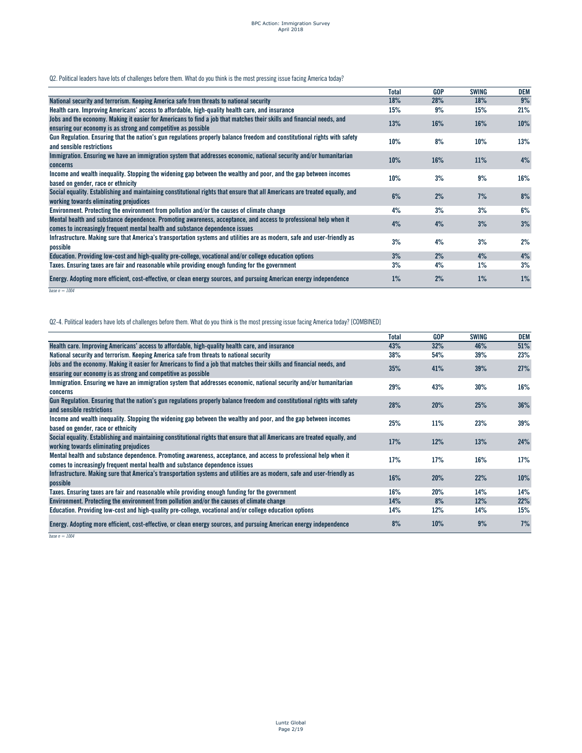Q2. Political leaders have lots of challenges before them. What do you think is the most pressing issue facing America today?

|                                                                                                                                                                                                  | Total | <b>GOP</b> | <b>SWING</b> | DEM   |
|--------------------------------------------------------------------------------------------------------------------------------------------------------------------------------------------------|-------|------------|--------------|-------|
| National security and terrorism. Keeping America safe from threats to national security                                                                                                          | 18%   | 28%        | 18%          | 9%    |
| Health care. Improving Americans' access to affordable, high-quality health care, and insurance                                                                                                  | 15%   | 9%         | 15%          | 21%   |
| Jobs and the economy. Making it easier for Americans to find a job that matches their skills and financial needs, and<br>ensuring our economy is as strong and competitive as possible           | 13%   | 16%        | 16%          | 10%   |
| Gun Regulation. Ensuring that the nation's gun regulations properly balance freedom and constitutional rights with safety<br>and sensible restrictions                                           | 10%   | 8%         | 10%          | 13%   |
| Immigration. Ensuring we have an immigration system that addresses economic, national security and/or humanitarian<br>concerns                                                                   | 10%   | 16%        | 11%          | 4%    |
| Income and wealth inequality. Stopping the widening gap between the wealthy and poor, and the gap between incomes<br>based on gender, race or ethnicity                                          | 10%   | 3%         | 9%           | 16%   |
| Social equality. Establishing and maintaining constitutional rights that ensure that all Americans are treated equally, and<br>working towards eliminating prejudices                            | 6%    | 2%         | 7%           | 8%    |
| Environment. Protecting the environment from pollution and/or the causes of climate change                                                                                                       | 4%    | 3%         | 3%           | 6%    |
| Mental health and substance dependence. Promoting awareness, acceptance, and access to professional help when it<br>comes to increasingly frequent mental health and substance dependence issues | 4%    | 4%         | 3%           | 3%    |
| Infrastructure. Making sure that America's transportation systems and utilities are as modern, safe and user-friendly as<br>possible                                                             | 3%    | 4%         | 3%           | 2%    |
| Education. Providing low-cost and high-quality pre-college, vocational and/or college education options                                                                                          | 3%    | 2%         | 4%           | 4%    |
| Taxes. Ensuring taxes are fair and reasonable while providing enough funding for the government                                                                                                  | 3%    | 4%         | $1\%$        | 3%    |
| Energy. Adopting more efficient, cost-effective, or clean energy sources, and pursuing American energy independence                                                                              | $1\%$ | 2%         | 1%           | $1\%$ |

*base n = 1004*

Q2-4. Political leaders have lots of challenges before them. What do you think is the most pressing issue facing America today? [COMBINED]

|                                                                                                                                                                                                  | Total | <b>GOP</b> | <b>SWING</b> | <b>DEM</b> |
|--------------------------------------------------------------------------------------------------------------------------------------------------------------------------------------------------|-------|------------|--------------|------------|
| Health care. Improving Americans' access to affordable, high-quality health care, and insurance                                                                                                  | 43%   | 32%        | 46%          | 51%        |
| National security and terrorism. Keeping America safe from threats to national security                                                                                                          | 38%   | 54%        | 39%          | 23%        |
| Jobs and the economy. Making it easier for Americans to find a job that matches their skills and financial needs, and<br>ensuring our economy is as strong and competitive as possible           | 35%   | 41%        | 39%          | 27%        |
| Immigration. Ensuring we have an immigration system that addresses economic, national security and/or humanitarian<br>concerns                                                                   | 29%   | 43%        | 30%          | 16%        |
| Gun Regulation. Ensuring that the nation's gun regulations properly balance freedom and constitutional rights with safety<br>and sensible restrictions                                           | 28%   | 20%        | 25%          | 36%        |
| Income and wealth inequality. Stopping the widening gap between the wealthy and poor, and the gap between incomes<br>based on gender, race or ethnicity                                          | 25%   | 11%        | 23%          | 39%        |
| Social equality. Establishing and maintaining constitutional rights that ensure that all Americans are treated equally, and<br>working towards eliminating prejudices                            | 17%   | 12%        | 13%          | 24%        |
| Mental health and substance dependence. Promoting awareness, acceptance, and access to professional help when it<br>comes to increasingly frequent mental health and substance dependence issues | 17%   | 17%        | 16%          | 17%        |
| Infrastructure. Making sure that America's transportation systems and utilities are as modern, safe and user-friendly as<br>possible                                                             | 16%   | 20%        | 22%          | 10%        |
| Taxes. Ensuring taxes are fair and reasonable while providing enough funding for the government                                                                                                  | 16%   | 20%        | 14%          | 14%        |
| Environment. Protecting the environment from pollution and/or the causes of climate change                                                                                                       | 14%   | 8%         | 12%          | 22%        |
| Education. Providing low-cost and high-quality pre-college, vocational and/or college education options                                                                                          | 14%   | 12%        | 14%          | 15%        |
| Energy. Adopting more efficient, cost-effective, or clean energy sources, and pursuing American energy independence                                                                              | 8%    | 10%        | 9%           | 7%         |

*base n = 1004*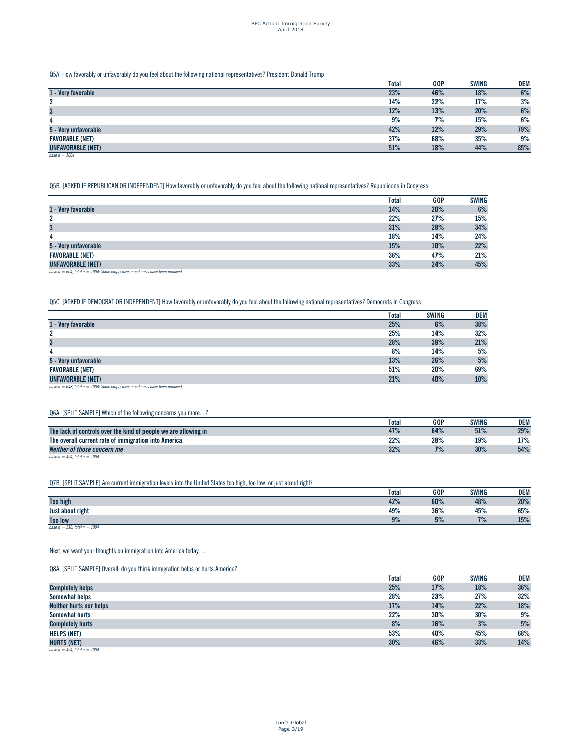Q5A. How favorably or unfavorably do you feel about the following national representatives? President Donald Trump

|                        | <b>Total</b> | <b>GOP</b> | <b>SWING</b> | DEM |
|------------------------|--------------|------------|--------------|-----|
| 1 - Very favorable     | 23%          | 46%        | 18%          | 6%  |
| 2                      | 14%          | 22%        | 17%          | 3%  |
| $\mathbf{3}$           | 12%          | 13%        | 20%          | 6%  |
| 4                      | 9%           | 7%         | 15%          | 6%  |
| 5 - Very unfavorable   | 42%          | 12%        | 29%          | 79% |
| <b>FAVORABLE (NET)</b> | 37%          | 68%        | 35%          | 9%  |
| UNFAVORABLE (NET)      | 51%          | 18%        | 44%          | 85% |
| base $n = 1004$        |              |            |              |     |

Q5B. [ASKED IF REPUBLICAN OR INDEPENDENT] How favorably or unfavorably do you feel about the following national representatives? Republicans in Congress

|                          | <b>Total</b> | <b>GOP</b> | <b>SWING</b> |
|--------------------------|--------------|------------|--------------|
| 1 - Very favorable       | 14%          | 20%        | 6%           |
| 2                        | 22%          | 27%        | 15%          |
| $\mathbf{3}$             | 31%          | 29%        | 34%          |
| 4                        | 18%          | 14%        | 24%          |
| 5 - Very unfavorable     | 15%          | 10%        | 22%          |
| <b>FAVORABLE (NET)</b>   | 36%          | 47%        | 21%          |
| <b>UNFAVORABLE (NET)</b> | 33%          | 24%        | 45%          |

*base n = 604; total n = 1004; Some empty rows or columns have been removed*

Q5C. [ASKED IF DEMOCRAT OR INDEPENDENT] How favorably or unfavorably do you feel about the following national representatives? Democrats in Congress

| <b>Total</b> | <b>SWING</b> | <b>DEM</b> |
|--------------|--------------|------------|
| 25%          | 6%           | 38%        |
| 25%          | 14%          | 32%        |
| 28%          | 39%          | 21%        |
| 8%           | 14%          | 5%         |
| 13%          | 26%          | 5%         |
| 51%          | 20%          | 69%        |
| 21%          | 40%          | 10%        |
|              |              |            |

*base n = 648; total n = 1004; Some empty rows or columns have been removed*

# Q6A. [SPLIT SAMPLE] Which of the following concerns you more... ?

|                                                                 | Total | GOP | <b>SWING</b> | DEM |
|-----------------------------------------------------------------|-------|-----|--------------|-----|
| The lack of controls over the kind of people we are allowing in | 47%   | 64% | 51%          | 29% |
| The overall current rate of immigration into America            | 22%   | 28% | 19%          | 17% |
| Neither of those concern me                                     | 32%   | 7%  | 30%          | 54% |
| base $n = 494$ : total $n = 1004$                               |       |     |              |     |

Q7B. [SPLIT SAMPLE] Are current immigration levels into the United States too high, too low, or just about right?

|                                   | <b>Total</b> | <b>GOP</b> | <b>SWING</b> | <b>DEM</b> |
|-----------------------------------|--------------|------------|--------------|------------|
| <b>Too high</b>                   | 42%          | 60%        | 48%          | 20%        |
| Just about right                  | 49%          | 36%        | 45%          | 65%        |
| <b>Too low</b>                    | 9%           | 5%         | 70/<br>170   | 15%        |
| base $n = 510$ ; total $n = 1004$ |              |            |              |            |

Next, we want your thoughts on immigration into America today…

Q8A. [SPLIT SAMPLE] Overall, do you think immigration helps or hurts America?

|                                   | <b>Total</b> | <b>GOP</b> | <b>SWING</b> | <b>DEM</b> |
|-----------------------------------|--------------|------------|--------------|------------|
| <b>Completely helps</b>           | 25%          | 17%        | 18%          | 36%        |
| Somewhat helps                    | 28%          | 23%        | 27%          | 32%        |
| <b>Neither hurts nor helps</b>    | 17%          | 14%        | 22%          | 18%        |
| Somewhat hurts                    | 22%          | 30%        | 30%          | 9%         |
| <b>Completely hurts</b>           | 8%           | 16%        | 3%           | 5%         |
| <b>HELPS (NET)</b>                | 53%          | 40%        | 45%          | 68%        |
| <b>HURTS (NET)</b>                | 30%          | 46%        | 33%          | 14%        |
| base $n = 494$ ; total $n = 1004$ |              |            |              |            |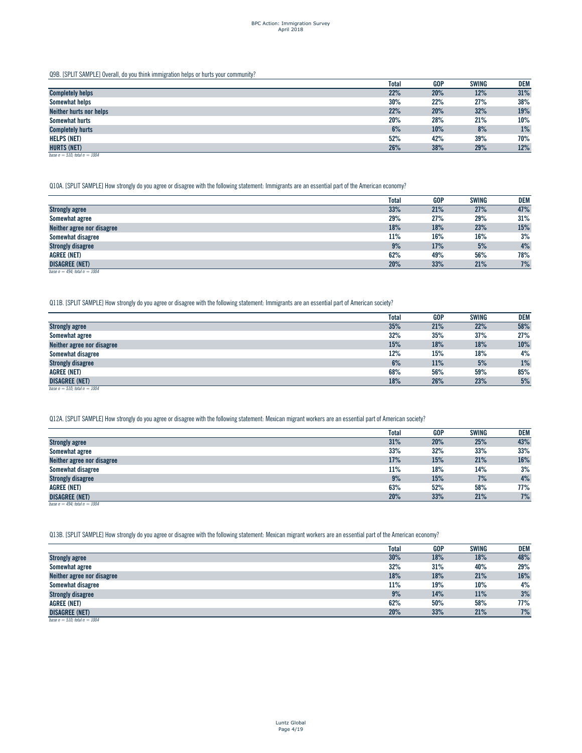Q9B. [SPLIT SAMPLE] Overall, do you think immigration helps or hurts your community?

|                                   | <b>Total</b> | <b>GOP</b> | <b>SWING</b> | <b>DEM</b> |
|-----------------------------------|--------------|------------|--------------|------------|
| <b>Completely helps</b>           | 22%          | 20%        | 12%          | 31%        |
| Somewhat helps                    | 30%          | 22%        | 27%          | 38%        |
| <b>Neither hurts nor helps</b>    | 22%          | 20%        | 32%          | 19%        |
| Somewhat hurts                    | 20%          | 28%        | 21%          | 10%        |
| <b>Completely hurts</b>           | 6%           | 10%        | 8%           | 1%         |
| <b>HELPS (NET)</b>                | 52%          | 42%        | 39%          | 70%        |
| <b>HURTS (NET)</b>                | 26%          | 38%        | 29%          | 12%        |
| base $n = 510$ ; total $n = 1004$ |              |            |              |            |

Q10A. [SPLIT SAMPLE] How strongly do you agree or disagree with the following statement: Immigrants are an essential part of the American economy?

|                                   | Total | <b>GOP</b> | <b>SWING</b> | <b>DEM</b> |
|-----------------------------------|-------|------------|--------------|------------|
| <b>Strongly agree</b>             | 33%   | 21%        | 27%          | 47%        |
| Somewhat agree                    | 29%   | 27%        | 29%          | 31%        |
| Neither agree nor disagree        | 18%   | 18%        | 23%          | 15%        |
| Somewhat disagree                 | 11%   | 16%        | 16%          | 3%         |
| <b>Strongly disagree</b>          | 9%    | 17%        | 5%           | 4%         |
| <b>AGREE (NET)</b>                | 62%   | 49%        | 56%          | 78%        |
| <b>DISAGREE (NET)</b>             | 20%   | 33%        | 21%          | 7%         |
| base $n = 494$ : total $n = 1004$ |       |            |              |            |

Q11B. [SPLIT SAMPLE] How strongly do you agree or disagree with the following statement: Immigrants are an essential part of American society?

|                                   | Total | GOP | <b>SWING</b> | DEM |
|-----------------------------------|-------|-----|--------------|-----|
| <b>Strongly agree</b>             | 35%   | 21% | 22%          | 58% |
| Somewhat agree                    | 32%   | 35% | 37%          | 27% |
| Neither agree nor disagree        | 15%   | 18% | 18%          | 10% |
| Somewhat disagree                 | 12%   | 15% | 18%          | 4%  |
| <b>Strongly disagree</b>          | 6%    | 11% | 5%           | 1%  |
| <b>AGREE (NET)</b>                | 68%   | 56% | 59%          | 85% |
| <b>DISAGREE (NET)</b>             | 18%   | 26% | 23%          | 5%  |
| base $n = 510$ ; total $n = 1004$ |       |     |              |     |

Q12A. [SPLIT SAMPLE] How strongly do you agree or disagree with the following statement: Mexican migrant workers are an essential part of American society?

|                                   | Total | <b>GOP</b> | <b>SWING</b> | <b>DEM</b> |
|-----------------------------------|-------|------------|--------------|------------|
| <b>Strongly agree</b>             | 31%   | 20%        | 25%          | 43%        |
| Somewhat agree                    | 33%   | 32%        | 33%          | 33%        |
| Neither agree nor disagree        | 17%   | 15%        | 21%          | 16%        |
| Somewhat disagree                 | 11%   | 18%        | 14%          | 3%         |
| <b>Strongly disagree</b>          | 9%    | 15%        | 7%           | 4%         |
| <b>AGREE (NET)</b>                | 63%   | 52%        | 58%          | 77%        |
| <b>DISAGREE (NET)</b>             | 20%   | 33%        | 21%          | 7%         |
| base $n = 494$ ; total $n = 1004$ |       |            |              |            |

Q13B. [SPLIT SAMPLE] How strongly do you agree or disagree with the following statement: Mexican migrant workers are an essential part of the American economy?

|                                   | <b>Total</b> | <b>GOP</b> | <b>SWING</b> | <b>DEM</b> |
|-----------------------------------|--------------|------------|--------------|------------|
| <b>Strongly agree</b>             | 30%          | 18%        | 18%          | 48%        |
| Somewhat agree                    | 32%          | 31%        | 40%          | 29%        |
| Neither agree nor disagree        | 18%          | 18%        | 21%          | 16%        |
| Somewhat disagree                 | 11%          | 19%        | $10\%$       | 4%         |
| <b>Strongly disagree</b>          | 9%           | 14%        | 11%          | 3%         |
| <b>AGREE (NET)</b>                | 62%          | 50%        | 58%          | 77%        |
| <b>DISAGREE (NET)</b>             | 20%          | 33%        | 21%          | 7%         |
| base $n = 510$ ; total $n = 1004$ |              |            |              |            |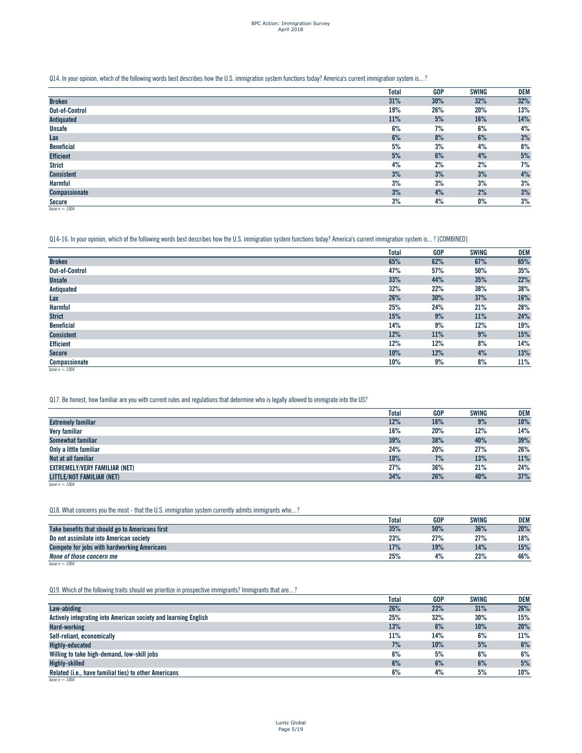# Q14. In your opinion, which of the following words best describes how the U.S. immigration system functions today? America's current immigration system is... ?

|                       | <b>Total</b> | <b>GOP</b> | <b>SWING</b> | DEM  |
|-----------------------|--------------|------------|--------------|------|
| <b>Broken</b>         | 31%          | 30%        | 32%          | 32%  |
| <b>Out-of-Control</b> | 19%          | 26%        | 20%          | 13%  |
| Antiquated            | 11%          | 5%         | 16%          | 14%  |
| <b>Unsafe</b>         | 6%           | 7%         | 6%           | 4%   |
| Lax                   | 6%           | 8%         | 6%           | $3%$ |
| <b>Beneficial</b>     | 5%           | 3%         | 4%           | 8%   |
| <b>Efficient</b>      | 5%           | 6%         | 4%           | 5%   |
| <b>Strict</b>         | 4%           | 2%         | 2%           | 7%   |
| <b>Consistent</b>     | 3%           | 3%         | 3%           | 4%   |
| <b>Harmful</b>        | 3%           | 3%         | 3%           | 3%   |
| <b>Compassionate</b>  | 3%           | 4%         | 2%           | 3%   |
| Secure                | 3%           | 4%         | $0\%$        | 3%   |
| base $n = 1004$       |              |            |              |      |

### Q14-16. In your opinion, which of the following words best describes how the U.S. immigration system functions today? America's current immigration system is... ? [COMBINED]

|                       | <b>Total</b> | <b>GOP</b> | <b>SWING</b> | DEM |
|-----------------------|--------------|------------|--------------|-----|
| <b>Broken</b>         | 65%          | 62%        | 67%          | 65% |
| <b>Out-of-Control</b> | 47%          | 57%        | 50%          | 35% |
| <b>Unsafe</b>         | 33%          | 44%        | 35%          | 22% |
| Antiquated            | 32%          | 22%        | 38%          | 38% |
| Lax                   | 26%          | 30%        | 37%          | 16% |
| <b>Harmful</b>        | 25%          | 24%        | 21%          | 28% |
| <b>Strict</b>         | 15%          | 9%         | 11%          | 24% |
| <b>Beneficial</b>     | 14%          | 9%         | 12%          | 19% |
| <b>Consistent</b>     | 12%          | 11%        | 9%           | 15% |
| <b>Efficient</b>      | 12%          | 12%        | 8%           | 14% |
| <b>Secure</b>         | 10%          | 12%        | 4%           | 13% |
| Compassionate         | 10%          | 9%         | 8%           | 11% |
| base $n = 1004$       |              |            |              |     |

#### Q17. Be honest, how familiar are you with current rules and regulations that determine who is legally allowed to immigrate into the US?

|                                      | <b>Total</b> | <b>GOP</b> | <b>SWING</b> | DEM |
|--------------------------------------|--------------|------------|--------------|-----|
| <b>Extremely familiar</b>            | 12%          | 16%        | 9%           | 10% |
| Very familiar                        | 16%          | 20%        | 12%          | 14% |
| Somewhat familiar                    | 39%          | 38%        | 40%          | 39% |
| Only a little familiar               | 24%          | 20%        | 27%          | 26% |
| Not at all familiar                  | 10%          | 7%         | 13%          | 11% |
| <b>EXTREMELY/VERY FAMILIAR (NET)</b> | 27%          | 36%        | 21%          | 24% |
| <b>LITTLE/NOT FAMILIAR (NET)</b>     | 34%          | 26%        | 40%          | 37% |

*base n = 1004*

#### Q18. What concerns you the most - that the U.S. immigration system currently admits immigrants who...?

|                                                    | Total | <b>GOP</b> | <b>SWING</b> | <b>DEM</b> |
|----------------------------------------------------|-------|------------|--------------|------------|
| Take benefits that should go to Americans first    | 35%   | 50%        | 36%          | 20%        |
| Do not assimilate into American society            | 23%   | 27%        | 27%          | 18%        |
| <b>Compete for jobs with hardworking Americans</b> | 17%   | 19%        | 14%          | 15%        |
| None of those concern me                           | 25%   | 4%         | 23%          | 46%        |
| base $n = 1004$                                    |       |            |              |            |

#### Q19. Which of the following traits should we prioritize in prospective immigrants? Immigrants that are...?

|                                                                 | <b>Total</b> | <b>GOP</b> | <b>SWING</b> | DEM |
|-----------------------------------------------------------------|--------------|------------|--------------|-----|
| Law-abiding                                                     | 26%          | 23%        | 31%          | 26% |
| Actively integrating into American society and learning English | 25%          | 32%        | 30%          | 15% |
| <b>Hard-working</b>                                             | 13%          | 6%         | 10%          | 20% |
| Self-reliant, economically                                      | 11%          | 14%        | 6%           | 11% |
| <b>Highly-educated</b>                                          | 7%           | 10%        | 5%           | 6%  |
| Willing to take high-demand, low-skill jobs                     | 6%           | 5%         | 6%           | 6%  |
| <b>Highly-skilled</b>                                           | 6%           | 6%         | 6%           | 5%  |
| Related (i.e., have familial ties) to other Americans           | 6%           | 4%         | 5%           | 10% |
| base $n = 1004$                                                 |              |            |              |     |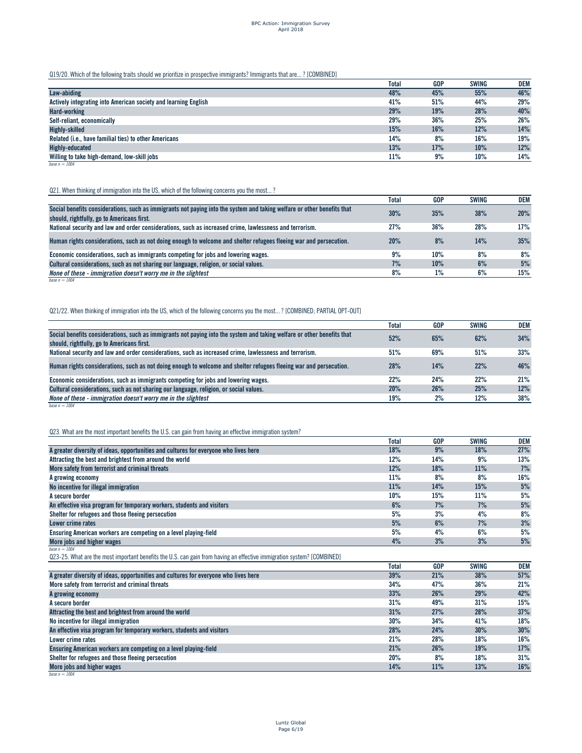Q19/20. Which of the following traits should we prioritize in prospective immigrants? Immigrants that are... ? [COMBINED]

|                                                                 | <b>Total</b> | <b>GOP</b> | <b>SWING</b> | <b>DEM</b> |
|-----------------------------------------------------------------|--------------|------------|--------------|------------|
| Law-abiding                                                     | 48%          | 45%        | 55%          | 46%        |
| Actively integrating into American society and learning English | 41%          | 51%        | 44%          | 29%        |
| <b>Hard-working</b>                                             | 29%          | 19%        | 28%          | 40%        |
| Self-reliant, economically                                      | 29%          | 36%        | 25%          | 26%        |
| <b>Highly-skilled</b>                                           | 15%          | 16%        | 12%          | 14%        |
| Related (i.e., have familial ties) to other Americans           | 14%          | 8%         | 16%          | 19%        |
| Highly-educated                                                 | 13%          | 17%        | 10%          | 12%        |
| Willing to take high-demand, low-skill jobs                     | 11%          | 9%         | 10%          | 14%        |
| base $n = 1004$                                                 |              |            |              |            |

# Q21. When thinking of immigration into the US, which of the following concerns you the most...?

|                                                                                                                                                                       | <b>Total</b> | <b>GOP</b> | <b>SWING</b> | DEM |
|-----------------------------------------------------------------------------------------------------------------------------------------------------------------------|--------------|------------|--------------|-----|
| Social benefits considerations, such as immigrants not paying into the system and taking welfare or other benefits that<br>should, rightfully, go to Americans first. | 30%          | 35%        | 38%          | 20% |
| National security and law and order considerations, such as increased crime, lawlessness and terrorism.                                                               | 27%          | 36%        | 28%          | 17% |
| Human rights considerations, such as not doing enough to welcome and shelter refugees fleeing war and persecution.                                                    | 20%          | 8%         | 14%          | 35% |
| Economic considerations, such as immigrants competing for jobs and lowering wages.                                                                                    | 9%           | 10%        | 8%           | 8%  |
| Cultural considerations, such as not sharing our language, religion, or social values.                                                                                | 7%           | 10%        | 6%           | 5%  |
| None of these - immigration doesn't worry me in the slightest                                                                                                         | 8%           | 1%         | 6%           | 15% |
| base $n = 1004$                                                                                                                                                       |              |            |              |     |

# Q21/22. When thinking of immigration into the US, which of the following concerns you the most... ? [COMBINED; PARTIAL OPT-OUT]

|                                                                                                                                                                       | <b>Total</b> | <b>GOP</b> | <b>SWING</b> | <b>DEM</b> |
|-----------------------------------------------------------------------------------------------------------------------------------------------------------------------|--------------|------------|--------------|------------|
| Social benefits considerations, such as immigrants not paying into the system and taking welfare or other benefits that<br>should, rightfully, go to Americans first. | 52%          | 65%        | 62%          | 34%        |
| National security and law and order considerations, such as increased crime, lawlessness and terrorism.                                                               | 51%          | 69%        | 51%          | 33%        |
| Human rights considerations, such as not doing enough to welcome and shelter refugees fleeing war and persecution.                                                    | 28%          | 14%        | 22%          | 46%        |
| Economic considerations, such as immigrants competing for jobs and lowering wages.                                                                                    | 22%          | 24%        | 22%          | 21%        |
| Cultural considerations, such as not sharing our language, religion, or social values.                                                                                | 20%          | 26%        | 25%          | 12%        |
| None of these - immigration doesn't worry me in the slightest                                                                                                         | 19%          | 2%         | 12%          | 38%        |
| base $n = 1004$                                                                                                                                                       |              |            |              |            |

# Q23. What are the most important benefits the U.S. can gain from having an effective immigration system?

|                                                                                                                        | <b>Total</b> | GOP        | <b>SWING</b> | <b>DEM</b> |
|------------------------------------------------------------------------------------------------------------------------|--------------|------------|--------------|------------|
| A greater diversity of ideas, opportunities and cultures for everyone who lives here                                   | 18%          | 9%         | 18%          | 27%        |
| Attracting the best and brightest from around the world                                                                | 12%          | 14%        | 9%           | 13%        |
| More safety from terrorist and criminal threats                                                                        | 12%          | 18%        | 11%          | 7%         |
| A growing economy                                                                                                      | 11%          | 8%         | 8%           | 16%        |
| No incentive for illegal immigration                                                                                   | 11%          | 14%        | 15%          | 5%         |
| A secure border                                                                                                        | 10%          | 15%        | 11%          | 5%         |
| An effective visa program for temporary workers, students and visitors                                                 | 6%           | 7%         | 7%           | 5%         |
| Shelter for refugees and those fleeing persecution                                                                     | 5%           | 3%         | 4%           | 8%         |
| Lower crime rates                                                                                                      | 5%           | 6%         | 7%           | 3%         |
| Ensuring American workers are competing on a level playing-field                                                       | 5%           | 4%         | 6%           | 5%         |
| More jobs and higher wages                                                                                             | 4%           | 3%         | 3%           | 5%         |
| base $n = 1004$                                                                                                        |              |            |              |            |
| Q23-25. What are the most important benefits the U.S. can gain from having an effective immigration system? [COMBINED] |              |            |              |            |
|                                                                                                                        | <b>Total</b> | <b>GOP</b> | <b>SWING</b> | DEM        |
| A greater diversity of ideas, opportunities and cultures for everyone who lives here                                   | 39%          | 21%        | 38%          | 57%        |
| More safety from terrorist and criminal threats                                                                        | 34%          | 47%        | 36%          | 21%        |
| A growing economy                                                                                                      | 33%          | 26%        | 29%          | 42%        |
| A secure border                                                                                                        | 31%          | 49%        | 31%          | 15%        |
| Attracting the best and brightest from around the world                                                                | 31%          | 27%        | 28%          | 37%        |
| No incentive for illegal immigration                                                                                   | 30%          | 34%        | 41%          | 18%        |
| An effective visa program for temporary workers, students and visitors                                                 | 28%          | 24%        | 30%          | 30%        |
| Lower crime rates                                                                                                      | 21%          | 28%        | 18%          | 16%        |
| Ensuring American workers are competing on a level playing-field                                                       | 21%          | 26%        | 19%          | 17%        |
| Shelter for refugees and those fleeing persecution                                                                     | 20%          | 8%         | 18%          | 31%        |
| More jobs and higher wages                                                                                             | 14%          | 11%        | 13%          | 16%        |
| base $n = 1004$                                                                                                        |              |            |              |            |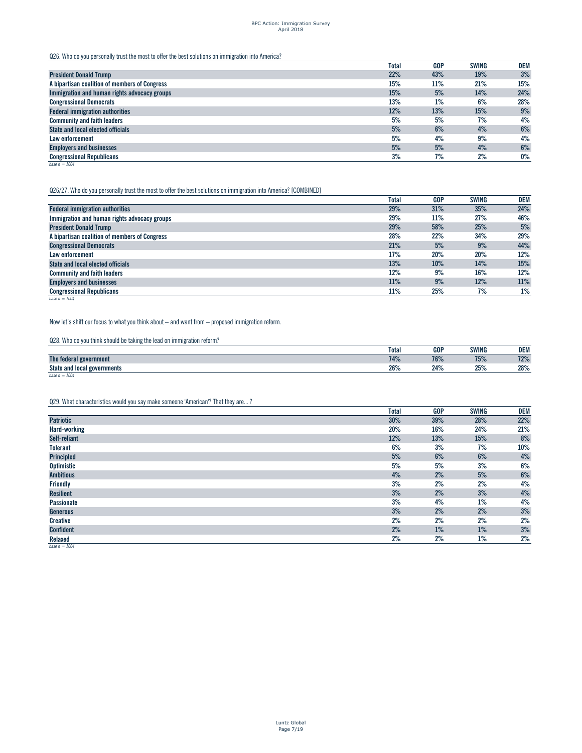# BPC Action: Immigration Survey April 2018

Q26. Who do you personally trust the most to offer the best solutions on immigration into America?

|                                               | <b>Total</b> | <b>GOP</b> | <b>SWING</b> | <b>DEM</b> |
|-----------------------------------------------|--------------|------------|--------------|------------|
| <b>President Donald Trump</b>                 | 22%          | 43%        | 19%          | 3%         |
| A bipartisan coalition of members of Congress | 15%          | 11%        | 21%          | 15%        |
| Immigration and human rights advocacy groups  | 15%          | 5%         | 14%          | 24%        |
| <b>Congressional Democrats</b>                | 13%          | 1%         | 6%           | 28%        |
| <b>Federal immigration authorities</b>        | 12%          | 13%        | 15%          | 9%         |
| <b>Community and faith leaders</b>            | 5%           | 5%         | 7%           | 4%         |
| <b>State and local elected officials</b>      | 5%           | 6%         | 4%           | 6%         |
| Law enforcement                               | 5%           | 4%         | 9%           | 4%         |
| <b>Employers and businesses</b>               | 5%           | 5%         | 4%           | 6%         |
| <b>Congressional Republicans</b>              | 3%           | 7%         | 2%           | $0\%$      |
| base $n = 1004$                               |              |            |              |            |

#### Q26/27. Who do you personally trust the most to offer the best solutions on immigration into America? [COMBINED]

|                                               | <b>Total</b> | <b>GOP</b> | <b>SWING</b> | <b>DEM</b> |
|-----------------------------------------------|--------------|------------|--------------|------------|
| <b>Federal immigration authorities</b>        | 29%          | 31%        | 35%          | 24%        |
| Immigration and human rights advocacy groups  | 29%          | 11%        | 27%          | 46%        |
| <b>President Donald Trump</b>                 | 29%          | 58%        | 25%          | 5%         |
| A bipartisan coalition of members of Congress | 28%          | 22%        | 34%          | 29%        |
| <b>Congressional Democrats</b>                | 21%          | 5%         | 9%           | 44%        |
| Law enforcement                               | 17%          | 20%        | 20%          | 12%        |
| <b>State and local elected officials</b>      | 13%          | 10%        | 14%          | 15%        |
| <b>Community and faith leaders</b>            | 12%          | 9%         | 16%          | 12%        |
| <b>Employers and businesses</b>               | 11%          | 9%         | 12%          | 11%        |
| <b>Congressional Republicans</b>              | 11%          | 25%        | 7%           | 1%         |

*base n = 1004*

Now let's shift our focus to what you think about – and want from – proposed immigration reform.

Q28. Who do you think should be taking the lead on immigration reform?

|                                            | Total | <b>GOP</b> | <b>SWING</b>  | <b>DEM</b>  |
|--------------------------------------------|-------|------------|---------------|-------------|
| The federal<br>' government                | 74%   | 76%        | 700<br>13/8   | 700<br>12/c |
| State and<br>' governments<br><b>local</b> | 26%   | 24%        | 250<br>2J / 0 | 28%         |
| base $n = 1004$                            |       |            |               |             |

Q29. What characteristics would you say make someone 'American'? That they are... ?

|                   | <b>Total</b> | <b>GOP</b> | <b>SWING</b> | DEM   |
|-------------------|--------------|------------|--------------|-------|
| <b>Patriotic</b>  | 30%          | 39%        | 28%          | 22%   |
| Hard-working      | 20%          | 16%        | 24%          | 21%   |
| Self-reliant      | 12%          | 13%        | 15%          | $8\%$ |
| <b>Tolerant</b>   | 6%           | 3%         | 7%           | 10%   |
| Principled        | 5%           | 6%         | 6%           | 4%    |
| <b>Optimistic</b> | 5%           | 5%         | 3%           | 6%    |
| <b>Ambitious</b>  | 4%           | 2%         | 5%           | $6\%$ |
| <b>Friendly</b>   | 3%           | 2%         | 2%           | 4%    |
| <b>Resilient</b>  | 3%           | 2%         | 3%           | 4%    |
| <b>Passionate</b> | 3%           | 4%         | $1\%$        | 4%    |
| Generous          | 3%           | 2%         | 2%           | 3%    |
| Creative          | 2%           | 2%         | 2%           | 2%    |
| <b>Confident</b>  | 2%           | 1%         | $1\%$        | $3%$  |
| Relaxed           | 2%           | 2%         | $1\%$        | 2%    |
| base $n = 1004$   |              |            |              |       |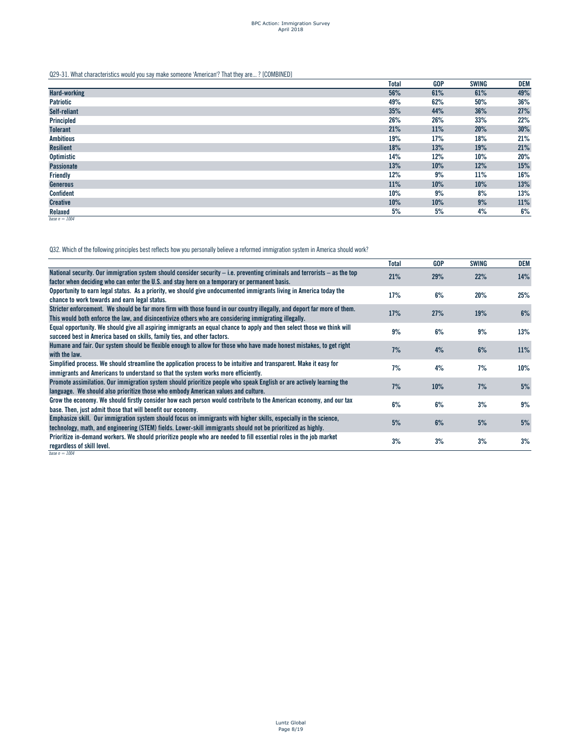Q29-31. What characteristics would you say make someone 'American'? That they are... ? [COMBINED]

|                     | <b>Total</b> | <b>GOP</b> | <b>SWING</b> | DEM    |
|---------------------|--------------|------------|--------------|--------|
| <b>Hard-working</b> | 56%          | 61%        | 61%          | 49%    |
| <b>Patriotic</b>    | 49%          | 62%        | 50%          | 36%    |
| Self-reliant        | 35%          | 44%        | 36%          | 27%    |
| Principled          | 26%          | 26%        | 33%          | 22%    |
| <b>Tolerant</b>     | 21%          | 11%        | 20%          | $30\%$ |
| <b>Ambitious</b>    | 19%          | 17%        | 18%          | 21%    |
| <b>Resilient</b>    | 18%          | 13%        | 19%          | 21%    |
| Optimistic          | 14%          | 12%        | 10%          | 20%    |
| <b>Passionate</b>   | 13%          | 10%        | 12%          | $15\%$ |
| Friendly            | 12%          | 9%         | 11%          | 16%    |
| Generous            | 11%          | 10%        | 10%          | 13%    |
| <b>Confident</b>    | 10%          | 9%         | 8%           | 13%    |
| <b>Creative</b>     | 10%          | 10%        | 9%           | 11%    |
| Relaxed             | 5%           | 5%         | 4%           | 6%     |
| base $n = 1004$     |              |            |              |        |

Q32. Which of the following principles best reflects how you personally believe a reformed immigration system in America should work?

|                                                                                                                                                                                                                            | Total | <b>GOP</b> | <b>SWING</b> | DEM |
|----------------------------------------------------------------------------------------------------------------------------------------------------------------------------------------------------------------------------|-------|------------|--------------|-----|
| National security. Our immigration system should consider security – i.e. preventing criminals and terrorists – as the top<br>factor when deciding who can enter the U.S. and stay here on a temporary or permanent basis. | 21%   | 29%        | 22%          | 14% |
|                                                                                                                                                                                                                            |       |            |              |     |
| Opportunity to earn legal status. As a priority, we should give undocumented immigrants living in America today the                                                                                                        | 17%   | 6%         | 20%          | 25% |
| chance to work towards and earn legal status.                                                                                                                                                                              |       |            |              |     |
| Stricter enforcement. We should be far more firm with those found in our country illegally, and deport far more of them.                                                                                                   | 17%   | 27%        | 19%          | 6%  |
| This would both enforce the law, and disincentivize others who are considering immigrating illegally.                                                                                                                      |       |            |              |     |
| Equal opportunity. We should give all aspiring immigrants an equal chance to apply and then select those we think will                                                                                                     |       |            |              |     |
| succeed best in America based on skills, family ties, and other factors.                                                                                                                                                   | 9%    | 6%         | 9%           | 13% |
| Humane and fair. Our system should be flexible enough to allow for those who have made honest mistakes, to get right                                                                                                       |       |            |              |     |
| with the law.                                                                                                                                                                                                              | 7%    | 4%         | 6%           | 11% |
|                                                                                                                                                                                                                            |       |            |              |     |
| Simplified process. We should streamline the application process to be intuitive and transparent. Make it easy for                                                                                                         | 7%    | 4%         | 7%           | 10% |
| immigrants and Americans to understand so that the system works more efficiently.                                                                                                                                          |       |            |              |     |
| Promote assimilation. Our immigration system should prioritize people who speak English or are actively learning the                                                                                                       | 7%    | 10%        | 7%           | 5%  |
| language. We should also prioritize those who embody American values and culture.                                                                                                                                          |       |            |              |     |
| Grow the economy. We should firstly consider how each person would contribute to the American economy, and our tax                                                                                                         |       |            |              |     |
| base. Then, just admit those that will benefit our economy.                                                                                                                                                                | 6%    | 6%         | 3%           | 9%  |
|                                                                                                                                                                                                                            |       |            |              |     |
| Emphasize skill. Our immigration system should focus on immigrants with higher skills, especially in the science,                                                                                                          | 5%    | 6%         | 5%           | 5%  |
| technology, math, and engineering (STEM) fields. Lower-skill immigrants should not be prioritized as highly.                                                                                                               |       |            |              |     |
| Prioritize in-demand workers. We should prioritize people who are needed to fill essential roles in the job market                                                                                                         | 3%    | 3%         | 3%           | 3%  |
| regardless of skill level.                                                                                                                                                                                                 |       |            |              |     |
| base $n = 1004$                                                                                                                                                                                                            |       |            |              |     |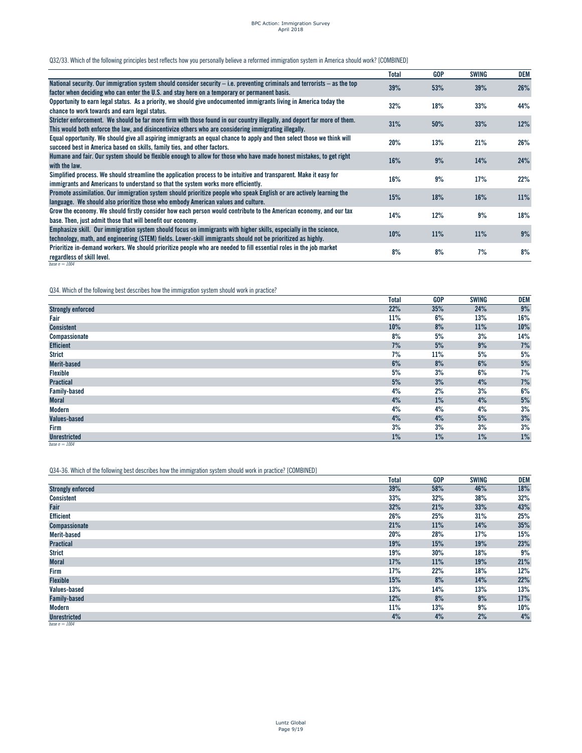# BPC Action: Immigration Survey April 2018

# Q32/33. Which of the following principles best reflects how you personally believe a reformed immigration system in America should work? [COMBINED]

|                                                                                                                                                                                                                                   | <b>Total</b> | <b>GOP</b> | <b>SWING</b> | DEM |
|-----------------------------------------------------------------------------------------------------------------------------------------------------------------------------------------------------------------------------------|--------------|------------|--------------|-----|
| National security. Our immigration system should consider security – i.e. preventing criminals and terrorists – as the top<br>factor when deciding who can enter the U.S. and stay here on a temporary or permanent basis.        | 39%          | 53%        | 39%          | 26% |
| Opportunity to earn legal status. As a priority, we should give undocumented immigrants living in America today the<br>chance to work towards and earn legal status.                                                              | 32%          | 18%        | 33%          | 44% |
| Stricter enforcement. We should be far more firm with those found in our country illegally, and deport far more of them.<br>This would both enforce the law, and disincentivize others who are considering immigrating illegally. | 31%          | 50%        | 33%          | 12% |
| Equal opportunity. We should give all aspiring immigrants an equal chance to apply and then select those we think will<br>succeed best in America based on skills, family ties, and other factors.                                | 20%          | 13%        | 21%          | 26% |
| Humane and fair. Our system should be flexible enough to allow for those who have made honest mistakes, to get right<br>with the law.                                                                                             | 16%          | 9%         | 14%          | 24% |
| Simplified process. We should streamline the application process to be intuitive and transparent. Make it easy for<br>immigrants and Americans to understand so that the system works more efficiently.                           | 16%          | 9%         | 17%          | 22% |
| Promote assimilation. Our immigration system should prioritize people who speak English or are actively learning the<br>language. We should also prioritize those who embody American values and culture.                         | 15%          | 18%        | 16%          | 11% |
| Grow the economy. We should firstly consider how each person would contribute to the American economy, and our tax<br>base. Then, just admit those that will benefit our economy.                                                 | 14%          | 12%        | 9%           | 18% |
| Emphasize skill. Our immigration system should focus on immigrants with higher skills, especially in the science,<br>technology, math, and engineering (STEM) fields. Lower-skill immigrants should not be prioritized as highly. | 10%          | 11%        | 11%          | 9%  |
| Prioritize in-demand workers. We should prioritize people who are needed to fill essential roles in the job market<br>regardless of skill level.                                                                                  | 8%           | 8%         | 7%           | 8%  |
| base $n = 1004$                                                                                                                                                                                                                   |              |            |              |     |

Q34. Which of the following best describes how the immigration system should work in practice?

|                          | <b>Total</b> | <b>GOP</b> | <b>SWING</b> | DEM   |
|--------------------------|--------------|------------|--------------|-------|
| <b>Strongly enforced</b> | 22%          | 35%        | 24%          | $9%$  |
| Fair                     | 11%          | 6%         | 13%          | 16%   |
| <b>Consistent</b>        | 10%          | 8%         | 11%          | 10%   |
| Compassionate            | 8%           | 5%         | 3%           | 14%   |
| <b>Efficient</b>         | 7%           | 5%         | 9%           | 7%    |
| <b>Strict</b>            | 7%           | 11%        | 5%           | 5%    |
| <b>Merit-based</b>       | 6%           | 8%         | 6%           | $5%$  |
| Flexible                 | 5%           | 3%         | 6%           | 7%    |
| <b>Practical</b>         | 5%           | 3%         | 4%           | 7%    |
| <b>Family-based</b>      | 4%           | 2%         | 3%           | 6%    |
| <b>Moral</b>             | 4%           | 1%         | 4%           | $5%$  |
| <b>Modern</b>            | 4%           | 4%         | 4%           | 3%    |
| <b>Values-based</b>      | 4%           | 4%         | 5%           | 3%    |
| Firm                     | 3%           | 3%         | 3%           | 3%    |
| <b>Unrestricted</b>      | 1%           | 1%         | 1%           | $1\%$ |
| base $n = 1004$          |              |            |              |       |

Q34-36. Which of the following best describes how the immigration system should work in practice? [COMBINED]

|                                      | <b>Total</b> | GOP | <b>SWING</b> | DEM |
|--------------------------------------|--------------|-----|--------------|-----|
| <b>Strongly enforced</b>             | 39%          | 58% | 46%          | 18% |
| <b>Consistent</b>                    | 33%          | 32% | 38%          | 32% |
| Fair                                 | 32%          | 21% | 33%          | 43% |
| <b>Efficient</b>                     | 26%          | 25% | 31%          | 25% |
| <b>Compassionate</b>                 | 21%          | 11% | 14%          | 35% |
| Merit-based                          | 20%          | 28% | 17%          | 15% |
| <b>Practical</b>                     | 19%          | 15% | 19%          | 23% |
| <b>Strict</b>                        | 19%          | 30% | 18%          | 9%  |
| <b>Moral</b>                         | 17%          | 11% | 19%          | 21% |
| Firm                                 | 17%          | 22% | 18%          | 12% |
| <b>Flexible</b>                      | 15%          | 8%  | 14%          | 22% |
| Values-based                         | 13%          | 14% | 13%          | 13% |
| <b>Family-based</b>                  | 12%          | 8%  | 9%           | 17% |
| Modern                               | 11%          | 13% | 9%           | 10% |
| <b>Unrestricted</b><br>$\sqrt{1004}$ | 4%           | 4%  | 2%           | 4%  |

*base n = 1004*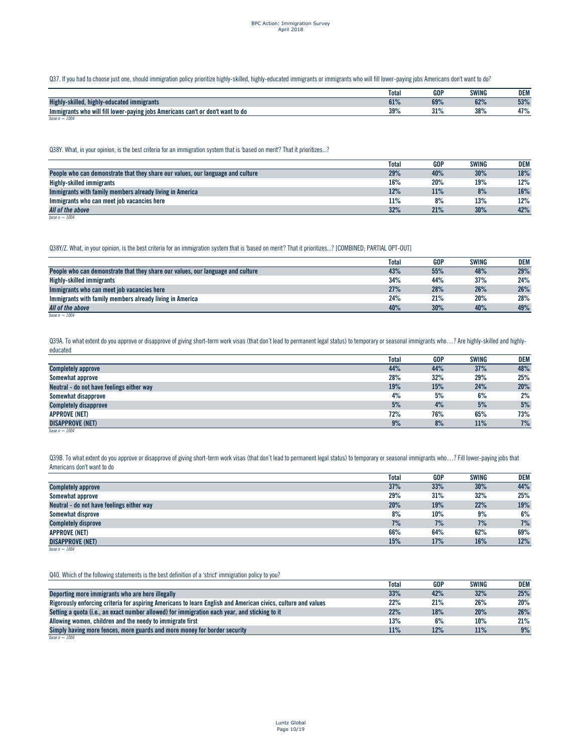Q37. If you had to choose just one, should immigration policy prioritize highly-skilled, highly-educated immigrants or immigrants who will fill lower-paying jobs Americans don't want to do?

|                                                                                | Total | <b>GOP</b>  | <b>SWING</b> | <b>DEM</b> |
|--------------------------------------------------------------------------------|-------|-------------|--------------|------------|
| <b>Highly</b><br>skilled, highly-educated immigrants                           | 61%   | 69%         | 62%          | 53%        |
| Immigrants who will fill lower-paying jobs Americans can't or don't want to do | 39%   | 210<br>01/8 | 38%          | 47%        |
| base $n = 1004$                                                                |       |             |              |            |

Q38Y. What, in your opinion, is the best criteria for an immigration system that is 'based on merit'? That it prioritizes...?

|                                                                                 | Total | <b>GOP</b> | <b>SWING</b> | <b>DEM</b> |
|---------------------------------------------------------------------------------|-------|------------|--------------|------------|
| People who can demonstrate that they share our values, our language and culture | 29%   | 40%        | 30%          | 18%        |
| Highly-skilled immigrants                                                       | 16%   | 20%        | 19%          | 12%        |
| Immigrants with family members already living in America                        | 12%   | 11%        | 8%           | 16%        |
| Immigrants who can meet job vacancies here                                      | 11%   | 8%         | 13%          | 12%        |
| All of the above                                                                | 32%   | 21%        | 30%          | 42%        |

*base n = 1004*

Q38Y/Z. What, in your opinion, is the best criteria for an immigration system that is 'based on merit'? That it prioritizes...? [COMBINED; PARTIAL OPT-OUT]

|                                                                                 | Total | <b>GOP</b> | <b>SWING</b> | <b>DEM</b> |
|---------------------------------------------------------------------------------|-------|------------|--------------|------------|
| People who can demonstrate that they share our values, our language and culture | 43%   | 55%        | 48%          | 29%        |
| Highly-skilled immigrants                                                       | 34%   | 44%        | 37%          | 24%        |
| Immigrants who can meet job vacancies here                                      | 27%   | 28%        | 26%          | 26%        |
| Immigrants with family members already living in America                        | 24%   | 21%        | 20%          | 28%        |
| All of the above                                                                | 40%   | 30%        | 40%          | 49%        |
| base $n = 1004$                                                                 |       |            |              |            |

Q39A. To what extent do you approve or disapprove of giving short-term work visas (that don't lead to permanent legal status) to temporary or seasonal immigrants who...? Are highly-skilled and highlyeducated

|                                           | <b>Total</b> | <b>GOP</b> | <b>SWING</b> | <b>DEM</b> |
|-------------------------------------------|--------------|------------|--------------|------------|
| <b>Completely approve</b>                 | 44%          | 44%        | 37%          | 48%        |
| Somewhat approve                          | 28%          | 32%        | 29%          | 25%        |
| Neutral - do not have feelings either way | 19%          | 15%        | 24%          | 20%        |
| Somewhat disapprove                       | 4%           | 5%         | 6%           | 2%         |
| <b>Completely disapprove</b>              | 5%           | 4%         | 5%           | 5%         |
| <b>APPROVE (NET)</b>                      | 72%          | 76%        | 65%          | 73%        |
| <b>DISAPPROVE (NET)</b>                   | 9%           | 8%         | 11%          | 7%         |
| base $n = 1004$                           |              |            |              |            |

Q39B. To what extent do you approve or disapprove of giving short-term work visas (that don't lead to permanent legal status) to temporary or seasonal immigrants who...? Fill lower-paying jobs that Americans don't want to do

|                                           | <b>Total</b> | <b>GOP</b> | <b>SWING</b> | <b>DEM</b> |
|-------------------------------------------|--------------|------------|--------------|------------|
| <b>Completely approve</b>                 | 37%          | 33%        | 30%          | 44%        |
| Somewhat approve                          | 29%          | 31%        | 32%          | 25%        |
| Neutral - do not have feelings either way | 20%          | 19%        | 22%          | 19%        |
| Somewhat disprove                         | 8%           | 10%        | 9%           | 6%         |
| <b>Completely disprove</b>                | 7%           | 7%         | 7%           | 7%         |
| <b>APPROVE (NET)</b>                      | 66%          | 64%        | 62%          | 69%        |
| <b>DISAPPROVE (NET)</b>                   | 15%          | 17%        | 16%          | 12%        |
| base $n = 1004$                           |              |            |              |            |

Q40. Which of the following statements is the best definition of a 'strict' immigration policy to you?

|                                                                                                               | Total | <b>GOP</b> | <b>SWING</b> | DEM |
|---------------------------------------------------------------------------------------------------------------|-------|------------|--------------|-----|
| Deporting more immigrants who are here illegally                                                              | 33%   | 42%        | 32%          | 25% |
| Rigorously enforcing criteria for aspiring Americans to learn English and American civics, culture and values | 22%   | 21%        | 26%          | 20% |
| Setting a quota (i.e., an exact number allowed) for immigration each year, and sticking to it                 | 22%   | 18%        | 20%          | 26% |
| Allowing women, children and the needy to immigrate first                                                     | 13%   | 6%         | 10%          | 21% |
| Simply having more fences, more guards and more money for border security                                     | 11%   | 12%        | 11%          | 9%  |
| base $n = 1004$                                                                                               |       |            |              |     |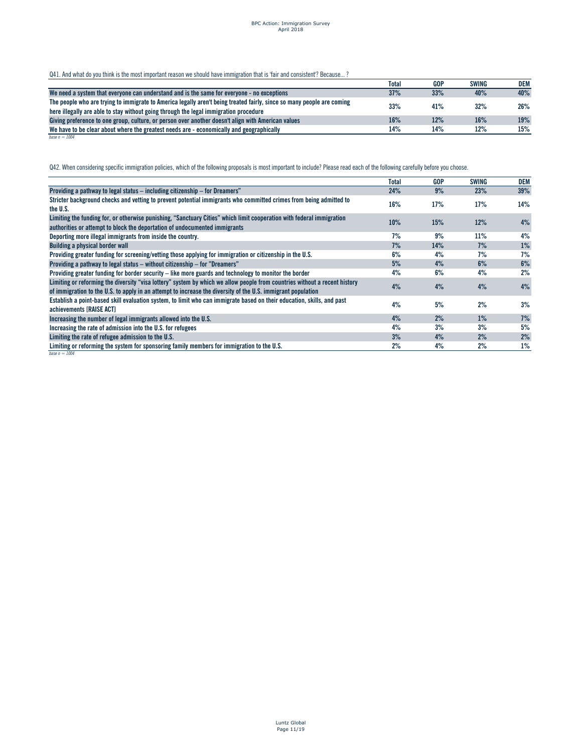Q41. And what do you think is the most important reason we should have immigration that is 'fair and consistent'? Because...?

|                                                                                                                        | <b>Total</b> | <b>GOP</b> | <b>SWING</b> | DEM |
|------------------------------------------------------------------------------------------------------------------------|--------------|------------|--------------|-----|
| We need a system that everyone can understand and is the same for everyone - no exceptions                             | 37%          | 33%        | 40%          | 40% |
| The people who are trying to immigrate to America legally aren't being treated fairly, since so many people are coming | 33%          | 41%        | 32%          | 26% |
| here illegally are able to stay without going through the legal immigration procedure                                  |              |            |              |     |
| Giving preference to one group, culture, or person over another doesn't align with American values                     | 16%          | 12%        | 16%          | 19% |
| We have to be clear about where the greatest needs are - economically and geographically                               | 14%          | 14%        | 12%          | 15% |
| base $n = 1004$                                                                                                        |              |            |              |     |

Q42. When considering specific immigration policies, which of the following proposals is most important to include? Please read each of the following carefully before you choose.

|                                                                                                                                                                                                                                            | <b>Total</b> | <b>GOP</b> | SWING | <b>DEM</b> |
|--------------------------------------------------------------------------------------------------------------------------------------------------------------------------------------------------------------------------------------------|--------------|------------|-------|------------|
| Providing a pathway to legal status – including citizenship – for Dreamers"                                                                                                                                                                | 24%          | 9%         | 23%   | 39%        |
| Stricter background checks and vetting to prevent potential immigrants who committed crimes from being admitted to<br>the U.S.                                                                                                             | 16%          | 17%        | 17%   | 14%        |
| Limiting the funding for, or otherwise punishing, "Sanctuary Cities" which limit cooperation with federal immigration<br>authorities or attempt to block the deportation of undocumented immigrants                                        | 10%          | 15%        | 12%   | 4%         |
| Deporting more illegal immigrants from inside the country.                                                                                                                                                                                 | 7%           | 9%         | 11%   | 4%         |
| <b>Building a physical border wall</b>                                                                                                                                                                                                     | 7%           | 14%        | 7%    | 1%         |
| Providing greater funding for screening/vetting those applying for immigration or citizenship in the U.S.                                                                                                                                  | 6%           | 4%         | 7%    | 7%         |
| Providing a pathway to legal status – without citizenship – for "Dreamers"                                                                                                                                                                 | 5%           | 4%         | 6%    | 6%         |
| Providing greater funding for border security – like more guards and technology to monitor the border                                                                                                                                      | 4%           | 6%         | 4%    | 2%         |
| Limiting or reforming the diversity "visa lottery" system by which we allow people from countries without a recent history<br>of immigration to the U.S. to apply in an attempt to increase the diversity of the U.S. immigrant population | 4%           | 4%         | 4%    | 4%         |
| Establish a point-based skill evaluation system, to limit who can immigrate based on their education, skills, and past<br>achievements [RAISE ACT]                                                                                         | 4%           | 5%         | 2%    | 3%         |
| Increasing the number of legal immigrants allowed into the U.S.                                                                                                                                                                            | 4%           | 2%         | $1\%$ | 7%         |
| Increasing the rate of admission into the U.S. for refugees                                                                                                                                                                                | 4%           | 3%         | 3%    | 5%         |
| Limiting the rate of refugee admission to the U.S.                                                                                                                                                                                         | 3%           | 4%         | 2%    | 2%         |
| Limiting or reforming the system for sponsoring family members for immigration to the U.S.<br>base $n = 1004$                                                                                                                              | 2%           | 4%         | 2%    | 1%         |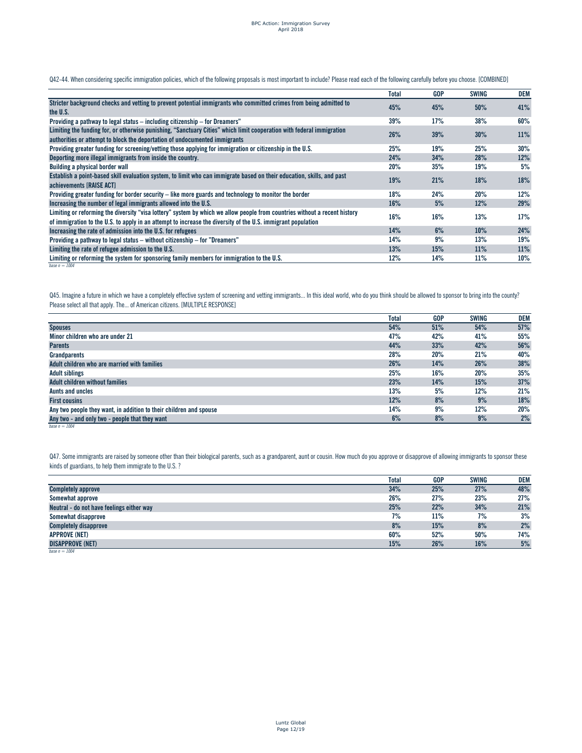Q42-44. When considering specific immigration policies, which of the following proposals is most important to include? Please read each of the following carefully before you choose. [COMBINED]

|                                                                                                                            | Total | <b>GOP</b> | <b>SWING</b> | DEM |
|----------------------------------------------------------------------------------------------------------------------------|-------|------------|--------------|-----|
| Stricter background checks and vetting to prevent potential immigrants who committed crimes from being admitted to         | 45%   | 45%        | 50%          | 41% |
| the U.S.                                                                                                                   |       |            |              |     |
| Providing a pathway to legal status – including citizenship – for Dreamers"                                                | 39%   | 17%        | 38%          | 60% |
| Limiting the funding for, or otherwise punishing, "Sanctuary Cities" which limit cooperation with federal immigration      |       |            |              |     |
| authorities or attempt to block the deportation of undocumented immigrants                                                 | 26%   | 39%        | 30%          | 11% |
| Providing greater funding for screening/vetting those applying for immigration or citizenship in the U.S.                  | 25%   | 19%        | 25%          | 30% |
| Deporting more illegal immigrants from inside the country.                                                                 | 24%   | 34%        | 28%          | 12% |
| Building a physical border wall                                                                                            | 20%   | 35%        | 19%          | 5%  |
| Establish a point-based skill evaluation system, to limit who can immigrate based on their education, skills, and past     |       |            |              | 18% |
| achievements <b>IRAISE ACTI</b>                                                                                            | 19%   | 21%        | 18%          |     |
| Providing greater funding for border security – like more guards and technology to monitor the border                      | 18%   | 24%        | 20%          | 12% |
| Increasing the number of legal immigrants allowed into the U.S.                                                            | 16%   | 5%         | 12%          | 29% |
| Limiting or reforming the diversity "visa lottery" system by which we allow people from countries without a recent history |       |            |              |     |
| of immigration to the U.S. to apply in an attempt to increase the diversity of the U.S. immigrant population               | 16%   | 16%        | 13%          | 17% |
| Increasing the rate of admission into the U.S. for refugees                                                                | 14%   | 6%         | 10%          | 24% |
| Providing a pathway to legal status – without citizenship – for "Dreamers"                                                 | 14%   | 9%         | 13%          | 19% |
| Limiting the rate of refugee admission to the U.S.                                                                         | 13%   | 15%        | 11%          | 11% |
| Limiting or reforming the system for sponsoring family members for immigration to the U.S.                                 | 12%   | 14%        | 11%          | 10% |
| base $n = 1004$                                                                                                            |       |            |              |     |

Q45. Imagine a future in which we have a completely effective system of screening and vetting immigrants... In this ideal world, who do you think should be allowed to sponsor to bring into the county? Please select all that apply. The... of American citizens. [MULTIPLE RESPONSE]

|                                                                    | <b>Total</b> | <b>GOP</b> | <b>SWING</b> | <b>DEM</b> |
|--------------------------------------------------------------------|--------------|------------|--------------|------------|
| <b>Spouses</b>                                                     | 54%          | 51%        | 54%          | 57%        |
| Minor children who are under 21                                    | 47%          | 42%        | 41%          | 55%        |
| <b>Parents</b>                                                     | 44%          | 33%        | 42%          | 56%        |
| Grandparents                                                       | 28%          | 20%        | 21%          | 40%        |
| Adult children who are married with families                       | 26%          | 14%        | 26%          | 38%        |
| <b>Adult siblings</b>                                              | 25%          | 16%        | 20%          | 35%        |
| <b>Adult children without families</b>                             | 23%          | 14%        | 15%          | 37%        |
| Aunts and uncles                                                   | 13%          | 5%         | 12%          | 21%        |
| <b>First cousins</b>                                               | 12%          | 8%         | 9%           | 18%        |
| Any two people they want, in addition to their children and spouse | 14%          | 9%         | 12%          | 20%        |
| Any two - and only two - people that they want                     | 6%           | 8%         | 9%           | 2%         |
| base $n = 1004$                                                    |              |            |              |            |

Q47. Some immigrants are raised by someone other than their biological parents, such as a grandparent, aunt or cousin. How much do you approve or disapprove of allowing immigrants to sponsor these kinds of guardians, to help them immigrate to the U.S. ?

|                                           | Total | <b>GOP</b> | <b>SWING</b> | <b>DEM</b> |
|-------------------------------------------|-------|------------|--------------|------------|
| <b>Completely approve</b>                 | 34%   | 25%        | 27%          | 48%        |
| Somewhat approve                          | 26%   | 27%        | 23%          | 27%        |
| Neutral - do not have feelings either way | 25%   | 22%        | 34%          | 21%        |
| Somewhat disapprove                       | 7%    | 11%        | 7%           | 3%         |
| <b>Completely disapprove</b>              | 8%    | 15%        | 8%           | 2%         |
| <b>APPROVE (NET)</b>                      | 60%   | 52%        | 50%          | 74%        |
| <b>DISAPPROVE (NET)</b>                   | 15%   | 26%        | 16%          | 5%         |
| base $n = 1004$                           |       |            |              |            |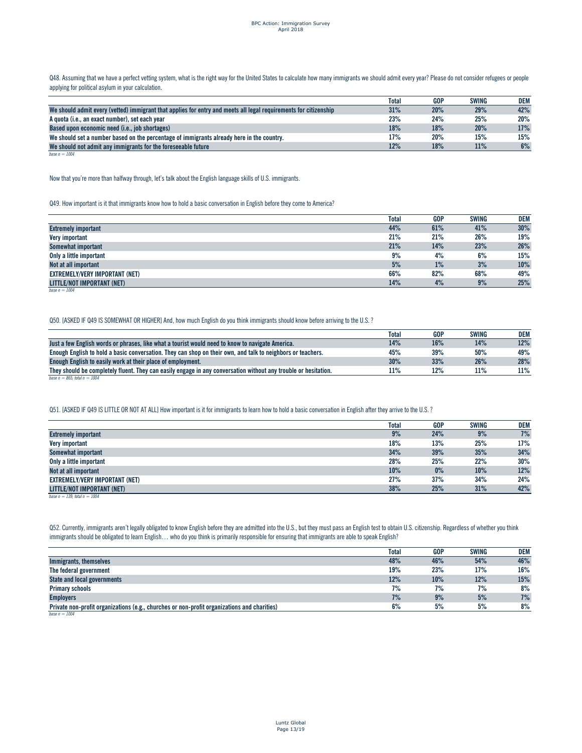Q48. Assuming that we have a perfect vetting system, what is the right way for the United States to calculate how many immigrants we should admit every year? Please do not consider refugees or people applying for political asylum in your calculation.

|                                                                                                                  | <b>Total</b> | GOP | <b>SWING</b> | DEM |
|------------------------------------------------------------------------------------------------------------------|--------------|-----|--------------|-----|
| We should admit every (vetted) immigrant that applies for entry and meets all legal requirements for citizenship | 31%          | 20% | 29%          | 42% |
| A quota (i.e., an exact number), set each year                                                                   | 23%          | 24% | 25%          | 20% |
| Based upon economic need (i.e., job shortages)                                                                   | 18%          | 18% | 20%          | 17% |
| We should set a number based on the percentage of immigrants already here in the country.                        | 17%          | 20% | 15%          | 15% |
| We should not admit any immigrants for the foreseeable future                                                    | 12%          | 18% | 11%          | 6%  |
| base $n = 1004$                                                                                                  |              |     |              |     |

Now that you're more than halfway through, let's talk about the English language skills of U.S. immigrants.

Q49. How important is it that immigrants know how to hold a basic conversation in English before they come to America?

|                                       | <b>Total</b> | <b>GOP</b> | <b>SWING</b> | <b>DEM</b> |
|---------------------------------------|--------------|------------|--------------|------------|
| <b>Extremely important</b>            | 44%          | 61%        | 41%          | 30%        |
| Very important                        | 21%          | 21%        | 26%          | 19%        |
| Somewhat important                    | 21%          | 14%        | 23%          | 26%        |
| Only a little important               | 9%           | 4%         | 6%           | 15%        |
| Not at all important                  | 5%           | 1%         | 3%           | 10%        |
| <b>EXTREMELY/VERY IMPORTANT (NET)</b> | 66%          | 82%        | 68%          | 49%        |
| LITTLE/NOT IMPORTANT (NET)            | 14%          | 4%         | 9%           | 25%        |
| base $n = 1004$                       |              |            |              |            |

Q50. [ASKED IF Q49 IS SOMEWHAT OR HIGHER] And, how much English do you think immigrants should know before arriving to the U.S. ?

|                                                                                                                 | <b>Total</b> | <b>GOP</b> | SWING | DEM |
|-----------------------------------------------------------------------------------------------------------------|--------------|------------|-------|-----|
| Just a few English words or phrases, like what a tourist would need to know to navigate America.                | 14%          | 16%        | 14%   | 12% |
| Enough English to hold a basic conversation. They can shop on their own, and talk to neighbors or teachers.     | 45%          | 39%        | 50%   | 49% |
| Enough English to easily work at their place of employment.                                                     | 30%          | 33%        | 26%   | 28% |
| They should be completely fluent. They can easily engage in any conversation without any trouble or hesitation. | 11%          | 12%        | 11%   | 11% |
| base $n = 865$ ; total $n = 1004$                                                                               |              |            |       |     |

Q51. [ASKED IF Q49 IS LITTLE OR NOT AT ALL] How important is it for immigrants to learn how to hold a basic conversation in English after they arrive to the U.S. ?

|                                       | <b>Total</b> | <b>GOP</b> | <b>SWING</b> | <b>DEM</b> |
|---------------------------------------|--------------|------------|--------------|------------|
| <b>Extremely important</b>            | 9%           | 24%        | 9%           | 7%         |
| Very important                        | 18%          | 13%        | 25%          | 17%        |
| Somewhat important                    | 34%          | 39%        | 35%          | 34%        |
| Only a little important               | 28%          | 25%        | 22%          | 30%        |
| Not at all important                  | 10%          | $0\%$      | 10%          | 12%        |
| <b>EXTREMELY/VERY IMPORTANT (NET)</b> | 27%          | 37%        | 34%          | 24%        |
| LITTLE/NOT IMPORTANT (NET)            | 38%          | 25%        | 31%          | 42%        |
| base $n = 139$ ; total $n = 1004$     |              |            |              |            |

Q52. Currently, immigrants aren't legally obligated to know English before they are admitted into the U.S., but they must pass an English test to obtain U.S. citizenship. Regardless of whether you think immigrants should be obligated to learn English... who do you think is primarily responsible for ensuring that immigrants are able to speak English?

|                                                                                             | <b>Total</b> | <b>GOP</b> | <b>SWING</b> | DEM |
|---------------------------------------------------------------------------------------------|--------------|------------|--------------|-----|
| Immigrants, themselves                                                                      | 48%          | 46%        | 54%          | 46% |
| The federal government                                                                      | 19%          | 23%        | 17%          | 16% |
| <b>State and local governments</b>                                                          | 12%          | 10%        | 12%          | 15% |
| <b>Primary schools</b>                                                                      | 7%           | 7%         | 7%           | 8%  |
| <b>Employers</b>                                                                            | 7%           | 9%         | 5%           | 7%  |
| Private non-profit organizations (e.g., churches or non-profit organizations and charities) | 6%           | 5%         | 5%           | 8%  |
| base $n = 1004$                                                                             |              |            |              |     |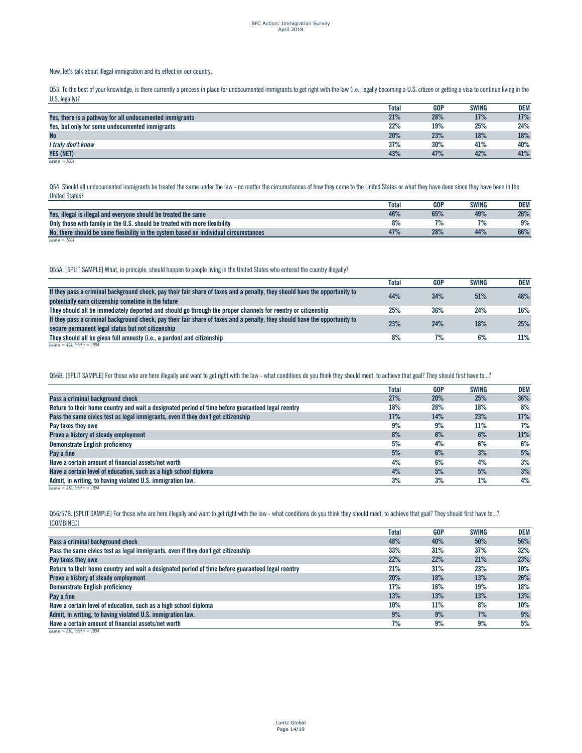#### Now, let's talk about illegal immigration and its effect on our country.

Q53. To the best of your knowledge, is there currently a process in place for undocumented immigrants to get right with the law (i.e., legally becoming a U.S. citizen or getting a visa to continue living in the U.S. legally)?

|                                                         | <b>Total</b> | <b>GOP</b> | SWING | <b>DEM</b> |
|---------------------------------------------------------|--------------|------------|-------|------------|
| Yes, there is a pathway for all undocumented immigrants | 21%          | 28%        | 17%   | 17%        |
| Yes, but only for some undocumented immigrants          | 22%          | 19%        | 25%   | 24%        |
| <b>No</b>                                               | 20%          | 23%        | 18%   | 18%        |
| I truly don't know                                      | 37%          | 30%        | 41%   | 40%        |
| <b>YES (NET)</b>                                        | 43%          | 47%        | 42%   | 41%        |
| base $n = 1004$                                         |              |            |       |            |

Q54. Should all undocumented immigrants be treated the same under the law - no matter the circumstances of how they came to the United States or what they have done since they have been in the United States?

|                                                                                      | <b>Total</b> | <b>GOP</b> | SWING     | <b>DEM</b> |
|--------------------------------------------------------------------------------------|--------------|------------|-----------|------------|
| Yes, illegal is illegal and everyone should be treated the same                      | 46%          | 65%        | 49%       | 26%        |
| Only those with family in the U.S. should be treated with more flexibility           | 8%           |            | <b>70</b> | 9%         |
| No, there should be some flexibility in the system based on individual circumstances | 47%          | 28%        | 44%       | 66%        |
| base $n = 1004$                                                                      |              |            |           |            |

#### Q55A. [SPLIT SAMPLE] What, in principle, should happen to people living in the United States who entered the country illegally?

|                                                                                                                            | Total | <b>GOP</b> | <b>SWING</b> | DEM    |
|----------------------------------------------------------------------------------------------------------------------------|-------|------------|--------------|--------|
| If they pass a criminal background check, pay their fair share of taxes and a penalty, they should have the opportunity to | 44%   | 34%        | 51%          | 48%    |
| potentially earn citizenship sometime in the future                                                                        |       |            |              |        |
| They should all be immediately deported and should go through the proper channels for reentry or citizenship               | 25%   | 36%        | 24%          | $16\%$ |
| If they pass a criminal background check, pay their fair share of taxes and a penalty, they should have the opportunity to | 23%   | 24%        | 18%          | 25%    |
| secure permanent legal status but not citizenship                                                                          |       |            |              |        |
| They should all be given full amnesty (i.e., a pardon) and citizenship                                                     | 8%    | 7%         | 6%           | 11%    |
| base $n = 494$ ; total $n = 1004$                                                                                          |       |            |              |        |

#### Q56B. [SPLIT SAMPLE] For those who are here illegally and want to get right with the law - what conditions do you think they should meet, to achieve that goal? They should first have to...?

|                                                                                                   | <b>Total</b> | GOP | <b>SWING</b> | DEM |
|---------------------------------------------------------------------------------------------------|--------------|-----|--------------|-----|
| Pass a criminal background check                                                                  | 27%          | 20% | 25%          | 36% |
| Return to their home country and wait a designated period of time before guaranteed legal reentry | 18%          | 28% | 18%          | 8%  |
| Pass the same civics test as legal immigrants, even if they don't get citizenship                 | 17%          | 14% | 23%          | 17% |
| Pay taxes they owe                                                                                | 9%           | 9%  | 11%          | 7%  |
| Prove a history of steady employment                                                              | 8%           | 6%  | 6%           | 11% |
| <b>Demonstrate English proficiency</b>                                                            | 5%           | 4%  | 6%           | 6%  |
| Pay a fine                                                                                        | 5%           | 6%  | 3%           | 5%  |
| Have a certain amount of financial assets/net worth                                               | 4%           | 6%  | 4%           | 3%  |
| Have a certain level of education, such as a high school diploma                                  | 4%           | 5%  | 5%           | 3%  |
| Admit, in writing, to having violated U.S. immigration law.                                       | 3%           | 3%  | $1\%$        | 4%  |
| hase $n = 510$ total $n = 1004$                                                                   |              |     |              |     |

Q56/57B. [SPLIT SAMPLE] For those who are here illegally and want to get right with the law - what conditions do you think they should meet, to achieve that goal? They should first have to...? [COMBINED]

|                                                                                                   | <b>Total</b> | <b>GOP</b> | <b>SWING</b> | DEM |
|---------------------------------------------------------------------------------------------------|--------------|------------|--------------|-----|
| Pass a criminal background check                                                                  | 48%          | 40%        | 50%          | 56% |
| Pass the same civics test as legal immigrants, even if they don't get citizenship                 | 33%          | 31%        | 37%          | 32% |
| Pay taxes they owe                                                                                | 22%          | 22%        | 21%          | 23% |
| Return to their home country and wait a designated period of time before guaranteed legal reentry | 21%          | 31%        | 23%          | 10% |
| Prove a history of steady employment                                                              | 20%          | 18%        | 13%          | 26% |
| <b>Demonstrate English proficiency</b>                                                            | 17%          | 16%        | 19%          | 18% |
| Pay a fine                                                                                        | 13%          | 13%        | 13%          | 13% |
| Have a certain level of education, such as a high school diploma                                  | 10%          | 11%        | 8%           | 10% |
| Admit, in writing, to having violated U.S. immigration law.                                       | 9%           | 9%         | 7%           | 9%  |
| Have a certain amount of financial assets/net worth                                               | 7%           | 9%         | 9%           | 5%  |
| hase $n = 510$ total $n = 1004$                                                                   |              |            |              |     |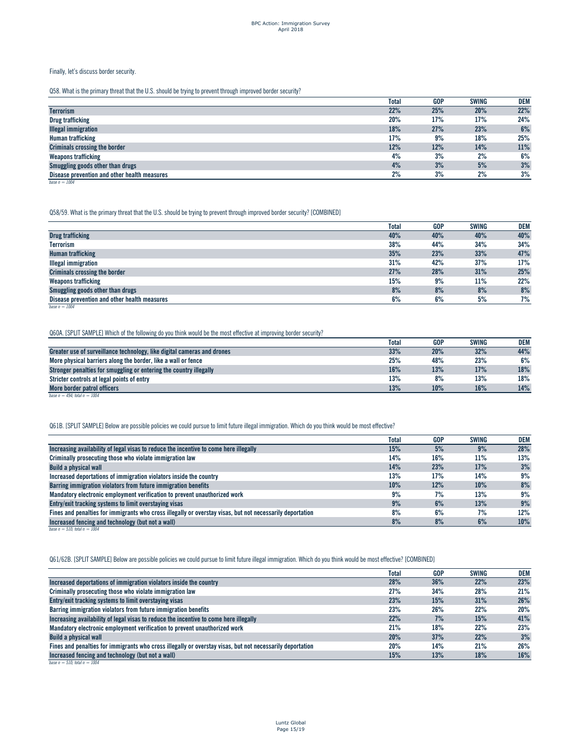### Finally, let's discuss border security.

Q58. What is the primary threat that the U.S. should be trying to prevent through improved border security?

|                                              | Total | <b>GOP</b> | <b>SWING</b> | DEM |
|----------------------------------------------|-------|------------|--------------|-----|
| <b>Terrorism</b>                             | 22%   | 25%        | 20%          | 22% |
| <b>Drug trafficking</b>                      | 20%   | 17%        | 17%          | 24% |
| <b>Illegal immigration</b>                   | 18%   | 27%        | 23%          | 6%  |
| Human trafficking                            | 17%   | 9%         | 18%          | 25% |
| <b>Criminals crossing the border</b>         | 12%   | 12%        | 14%          | 11% |
| Weapons trafficking                          | 4%    | 3%         | 2%           | 6%  |
| Smuggling goods other than drugs             | 4%    | 3%         | 5%           | 3%  |
| Disease prevention and other health measures | 2%    | 3%         | 2%           | 3%  |
| base $n = 1004$                              |       |            |              |     |

Q58/59. What is the primary threat that the U.S. should be trying to prevent through improved border security? [COMBINED]

|                                              | <b>Total</b> | <b>GOP</b> | <b>SWING</b> | <b>DEM</b> |
|----------------------------------------------|--------------|------------|--------------|------------|
| <b>Drug trafficking</b>                      | 40%          | 40%        | 40%          | 40%        |
| <b>Terrorism</b>                             | 38%          | 44%        | 34%          | 34%        |
| <b>Human trafficking</b>                     | 35%          | 23%        | 33%          | 47%        |
| <b>Illegal immigration</b>                   | 31%          | 42%        | 37%          | 17%        |
| Criminals crossing the border                | 27%          | 28%        | 31%          | 25%        |
| <b>Weapons trafficking</b>                   | 15%          | 9%         | 11%          | 22%        |
| Smuggling goods other than drugs             | 8%           | 8%         | 8%           | 8%         |
| Disease prevention and other health measures | 6%           | 6%         | 5%           | 7%         |
| base $n = 1004$                              |              |            |              |            |

Q60A. [SPLIT SAMPLE] Which of the following do you think would be the most effective at improving border security?

|                                                                         | Total | <b>GOP</b> | SWING | DEM |
|-------------------------------------------------------------------------|-------|------------|-------|-----|
| Greater use of surveillance technology, like digital cameras and drones | 33%   | 20%        | 32%   | 44% |
| More physical barriers along the border, like a wall or fence           | 25%   | 48%        | 23%   | 6%  |
| Stronger penalties for smuggling or entering the country illegally      | 16%   | 13%        | 17%   | 18% |
| Stricter controls at legal points of entry                              | 13%   | 8%         | 13%   | 18% |
| More border patrol officers                                             | 13%   | 10%        | 16%   | 14% |
| base $n = 494$ total $n = 1004$                                         |       |            |       |     |

Q61B. [SPLIT SAMPLE] Below are possible policies we could pursue to limit future illegal immigration. Which do you think would be most effective?

|                                                                                                           | Total | <b>GOP</b> | <b>SWING</b> | DEM |
|-----------------------------------------------------------------------------------------------------------|-------|------------|--------------|-----|
| Increasing availability of legal visas to reduce the incentive to come here illegally                     | 15%   | 5%         | 9%           | 28% |
| Criminally prosecuting those who violate immigration law                                                  | 14%   | 16%        | 11%          | 13% |
| <b>Build a physical wall</b>                                                                              | 14%   | 23%        | 17%          | 3%  |
| Increased deportations of immigration violators inside the country                                        | 13%   | 17%        | 14%          | 9%  |
| Barring immigration violators from future immigration benefits                                            | 10%   | 12%        | 10%          | 8%  |
| Mandatory electronic employment verification to prevent unauthorized work                                 | 9%    | 7%         | 13%          | 9%  |
| Entry/exit tracking systems to limit overstaying visas                                                    | 9%    | 6%         | 13%          | 9%  |
| Fines and penalties for immigrants who cross illegally or overstay visas, but not necessarily deportation | 8%    | 6%         | 7%           | 12% |
| Increased fencing and technology (but not a wall)                                                         | 8%    | 8%         | 6%           | 10% |
| base $n = 510$ ; total $n = 1004$                                                                         |       |            |              |     |

Q61/62B. [SPLIT SAMPLE] Below are possible policies we could pursue to limit future illegal immigration. Which do you think would be most effective? [COMBINED]

|                                                                                                           | <b>Total</b> | <b>GOP</b> | <b>SWING</b> | <b>DEM</b> |
|-----------------------------------------------------------------------------------------------------------|--------------|------------|--------------|------------|
| Increased deportations of immigration violators inside the country                                        | 28%          | 36%        | 22%          | 23%        |
| Criminally prosecuting those who violate immigration law                                                  | 27%          | 34%        | 28%          | 21%        |
| Entry/exit tracking systems to limit overstaying visas                                                    | 23%          | 15%        | 31%          | 26%        |
| Barring immigration violators from future immigration benefits                                            | 23%          | 26%        | 22%          | 20%        |
| Increasing availability of legal visas to reduce the incentive to come here illegally                     | 22%          | 7%         | 15%          | 41%        |
| Mandatory electronic employment verification to prevent unauthorized work                                 | 21%          | 18%        | 22%          | 23%        |
| <b>Build a physical wall</b>                                                                              | 20%          | 37%        | 22%          | 3%         |
| Fines and penalties for immigrants who cross illegally or overstay visas, but not necessarily deportation | 20%          | 14%        | 21%          | 26%        |
| Increased fencing and technology (but not a wall)                                                         | 15%          | 13%        | 18%          | 16%        |
| base $n = 510$ ; total $n = 1004$                                                                         |              |            |              |            |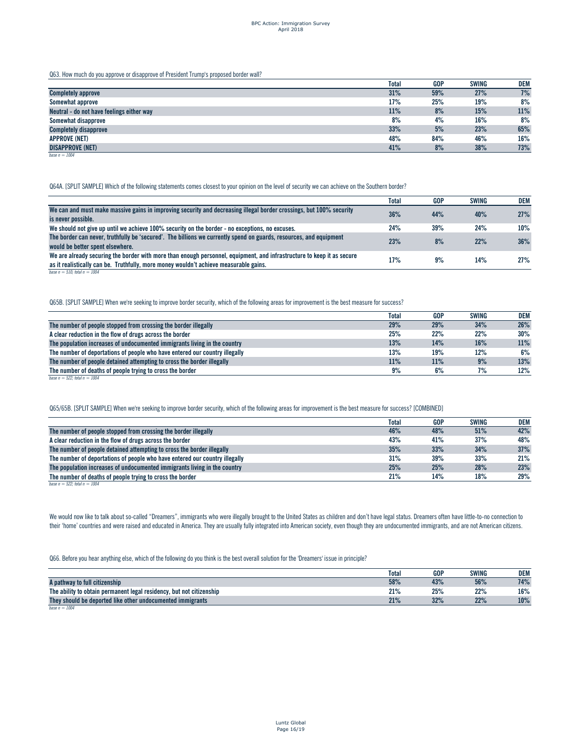Q63. How much do you approve or disapprove of President Trump's proposed border wall?

|                                           | <b>Total</b> | <b>GOP</b> | <b>SWING</b> | <b>DEM</b> |
|-------------------------------------------|--------------|------------|--------------|------------|
| <b>Completely approve</b>                 | 31%          | 59%        | 27%          | 7%         |
| Somewhat approve                          | 17%          | 25%        | 19%          | 8%         |
| Neutral - do not have feelings either way | 11%          | 8%         | 15%          | 11%        |
| Somewhat disapprove                       | 8%           | 4%         | 16%          | 8%         |
| <b>Completely disapprove</b>              | 33%          | 5%         | 23%          | 65%        |
| <b>APPROVE (NET)</b>                      | 48%          | 84%        | 46%          | 16%        |
| <b>DISAPPROVE (NET)</b>                   | 41%          | 8%         | 38%          | 73%        |
| base $n = 1004$                           |              |            |              |            |

Q64A. [SPLIT SAMPLE] Which of the following statements comes closest to your opinion on the level of security we can achieve on the Southern border?

|                                                                                                                        | Total | <b>GOP</b> | <b>SWING</b> | DEM |
|------------------------------------------------------------------------------------------------------------------------|-------|------------|--------------|-----|
| We can and must make massive gains in improving security and decreasing illegal border crossings, but 100% security    | 36%   | 44%        | 40%          | 27% |
| is never possible.                                                                                                     |       |            |              |     |
| We should not give up until we achieve 100% security on the border - no exceptions, no excuses.                        | 24%   | 39%        | 24%          | 10% |
| The border can never, truthfully be 'secured'. The billions we currently spend on guards, resources, and equipment     | 23%   | 8%         | 22%          | 36% |
| would be better spent elsewhere.                                                                                       |       |            |              |     |
| We are already securing the border with more than enough personnel, equipment, and infrastructure to keep it as secure | 17%   | 9%         | 14%          | 27% |
| as it realistically can be. Truthfully, more money wouldn't achieve measurable gains.                                  |       |            |              |     |
| base $n = 510$ total $n = 1004$                                                                                        |       |            |              |     |

Q65B. [SPLIT SAMPLE] When we're seeking to improve border security, which of the following areas for improvement is the best measure for success?

|                                                                             | <b>Total</b> | <b>GOP</b> | <b>SWING</b> | <b>DEM</b> |
|-----------------------------------------------------------------------------|--------------|------------|--------------|------------|
| The number of people stopped from crossing the border illegally             | 29%          | 29%        | 34%          | 26%        |
| A clear reduction in the flow of drugs across the border                    | 25%          | 22%        | 22%          | $30\%$     |
| The population increases of undocumented immigrants living in the country   | 13%          | 14%        | 16%          | 11%        |
| The number of deportations of people who have entered our country illegally | 13%          | 19%        | 12%          | 6%         |
| The number of people detained attempting to cross the border illegally      | 11%          | 11%        | 9%           | 13%        |
| The number of deaths of people trying to cross the border                   | 9%           | 6%         | 7%           | 12%        |
| base $n = 522$ ; total $n = 1004$                                           |              |            |              |            |

Q65/65B. [SPLIT SAMPLE] When we're seeking to improve border security, which of the following areas for improvement is the best measure for success? [COMBINED]

|                                                                             | Total | <b>GOP</b> | <b>SWING</b> | <b>DEM</b> |
|-----------------------------------------------------------------------------|-------|------------|--------------|------------|
| The number of people stopped from crossing the border illegally             | 46%   | 48%        | 51%          | 42%        |
| A clear reduction in the flow of drugs across the border                    | 43%   | 41%        | 37%          | 48%        |
| The number of people detained attempting to cross the border illegally      | 35%   | 33%        | 34%          | 37%        |
| The number of deportations of people who have entered our country illegally | 31%   | 39%        | 33%          | 21%        |
| The population increases of undocumented immigrants living in the country   | 25%   | 25%        | 28%          | 23%        |
| The number of deaths of people trying to cross the border                   | 21%   | 14%        | 18%          | 29%        |

 $base n = 522$ *; total*  $n = 1004$ 

We would now like to talk about so-called "Dreamers", immigrants who were illegally brought to the United States as children and don't have legal status. Dreamers often have little-to-no connection to their 'home' countries and were raised and educated in America. They are usually fully integrated into American society, even though they are undocumented immigrants, and are not American citizens.

Q66. Before you hear anything else, which of the following do you think is the best overall solution for the 'Dreamers' issue in principle?

|                                                                      | <b>Total</b> | <b>GOP</b> | SWING         | <b>DEM</b> |
|----------------------------------------------------------------------|--------------|------------|---------------|------------|
| A pathway to full citizenship                                        | 58%          | 43%        | 56%           | 74%        |
| The ability to obtain permanent legal residency, but not citizenship | 21%          | 25%        | 220/<br>ZZ /o | 16%        |
| They should be deported like other undocumented immigrants           | 21%          | 32%        | 22%           | 10%        |
| base $n = 1004$                                                      |              |            |               |            |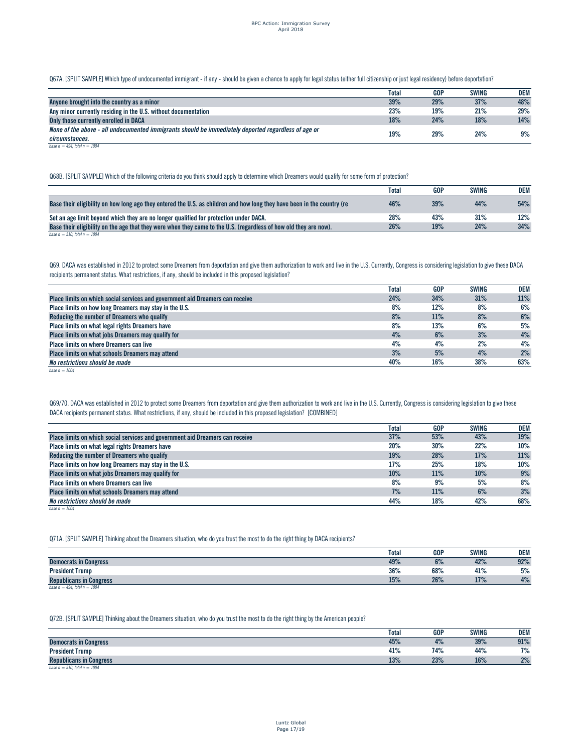Q67A. [SPLIT SAMPLE] Which type of undocumented immigrant - if any - should be given a chance to apply for legal status (either full citizenship or just legal residency) before deportation?

|                                                                                                     | Total | <b>GOP</b> | <b>SWING</b> | DEM |
|-----------------------------------------------------------------------------------------------------|-------|------------|--------------|-----|
| Anyone brought into the country as a minor                                                          | 39%   | 29%        | 37%          | 48% |
| Any minor currently residing in the U.S. without documentation                                      | 23%   | 19%        | 21%          | 29% |
| Only those currently enrolled in DACA                                                               | 18%   | 24%        | 18%          | 14% |
| None of the above - all undocumented immigrants should be immediately deported regardless of age or | 19%   | 29%        | 24%          | 9%  |
| circumstances.                                                                                      |       |            |              |     |
| base $n = 494$ : total $n = 1004$                                                                   |       |            |              |     |

Q68B. [SPLIT SAMPLE] Which of the following criteria do you think should apply to determine which Dreamers would qualify for some form of protection?

|                                                                                                                         | <b>Total</b> | <b>GOP</b> | SWING | DEM |
|-------------------------------------------------------------------------------------------------------------------------|--------------|------------|-------|-----|
| Base their eligibility on how long ago they entered the U.S. as children and how long they have been in the country (re | 46%          | 39%        | 44%   | 54% |
| Set an age limit beyond which they are no longer qualified for protection under DACA.                                   | 28%          | 43%        | 31%   | 12% |
| Base their eligibility on the age that they were when they came to the U.S. (regardless of how old they are now).       | 26%          | 19%        | 24%   | 34% |
| base $n = 510$ ; total $n = 1004$                                                                                       |              |            |       |     |

Q69. DACA was established in 2012 to protect some Dreamers from deportation and give them authorization to work and live in the U.S. Currently, Congress is considering legislation to give these DACA recipients permanent status. What restrictions, if any, should be included in this proposed legislation?

|                                                                               | Total | <b>GOP</b> | <b>SWING</b> | <b>DEM</b> |
|-------------------------------------------------------------------------------|-------|------------|--------------|------------|
| Place limits on which social services and government aid Dreamers can receive | 24%   | 34%        | 31%          | 11%        |
| Place limits on how long Dreamers may stay in the U.S.                        | 8%    | 12%        | 8%           | 6%         |
| Reducing the number of Dreamers who qualify                                   | 8%    | 11%        | 8%           | 6%         |
| Place limits on what legal rights Dreamers have                               | 8%    | 13%        | 6%           | 5%         |
| Place limits on what jobs Dreamers may qualify for                            | 4%    | 6%         | 3%           | 4%         |
| Place limits on where Dreamers can live                                       | 4%    | 4%         | 2%           | 4%         |
| Place limits on what schools Dreamers may attend                              | 3%    | 5%         | 4%           | 2%         |
| No restrictions should be made                                                | 40%   | 16%        | 38%          | 63%        |
| base $n = 1004$                                                               |       |            |              |            |

Q69/70. DACA was established in 2012 to protect some Dreamers from deportation and give them authorization to work and live in the U.S. Currently, Congress is considering legislation to give these DACA recipients permanent status. What restrictions, if any, should be included in this proposed legislation? [COMBINED]

|                                                                               | Total | <b>GOP</b> | <b>SWING</b> | DEM |
|-------------------------------------------------------------------------------|-------|------------|--------------|-----|
| Place limits on which social services and government aid Dreamers can receive | 37%   | 53%        | 43%          | 19% |
| Place limits on what legal rights Dreamers have                               | 20%   | 30%        | 22%          | 10% |
| Reducing the number of Dreamers who qualify                                   | 19%   | 28%        | 17%          | 11% |
| Place limits on how long Dreamers may stay in the U.S.                        | 17%   | 25%        | 18%          | 10% |
| Place limits on what jobs Dreamers may qualify for                            | 10%   | 11%        | 10%          | 9%  |
| Place limits on where Dreamers can live                                       | 8%    | 9%         | 5%           | 8%  |
| Place limits on what schools Dreamers may attend                              | 7%    | 11%        | 6%           | 3%  |
| No restrictions should be made                                                | 44%   | 18%        | 42%          | 68% |
| base $n = 1004$                                                               |       |            |              |     |

Q71A. [SPLIT SAMPLE] Thinking about the Dreamers situation, who do you trust the most to do the right thing by DACA recipients?

|                                   | <b>Total</b> | <b>GOP</b> | <b>SWING</b> | DEM |
|-----------------------------------|--------------|------------|--------------|-----|
| <b>Democrats in Congress</b>      | 49%          | 6%         | 42%          | 92% |
| <b>President Trump</b>            | 36%          | 68%        | 41%          | 5%  |
| <b>Republicans in Congress</b>    | 15%          | 26%        | 17%          | 4%  |
| base $n = 494$ ; total $n = 1004$ |              |            |              |     |

Q72B. [SPLIT SAMPLE] Thinking about the Dreamers situation, who do you trust the most to do the right thing by the American people?

|                                   | Total | <b>GOP</b> | <b>SWING</b> | <b>DEM</b> |
|-----------------------------------|-------|------------|--------------|------------|
| <b>Democrats in Congress</b>      | 45%   | 4%         | 39%          | 91%        |
| <b>President Trump</b>            | 41%   | 74%        | 44%          | 7%         |
| <b>Republicans in Congress</b>    | 13%   | 23%        | 16%          | 2%         |
| base $n = 510$ ; total $n = 1004$ |       |            |              |            |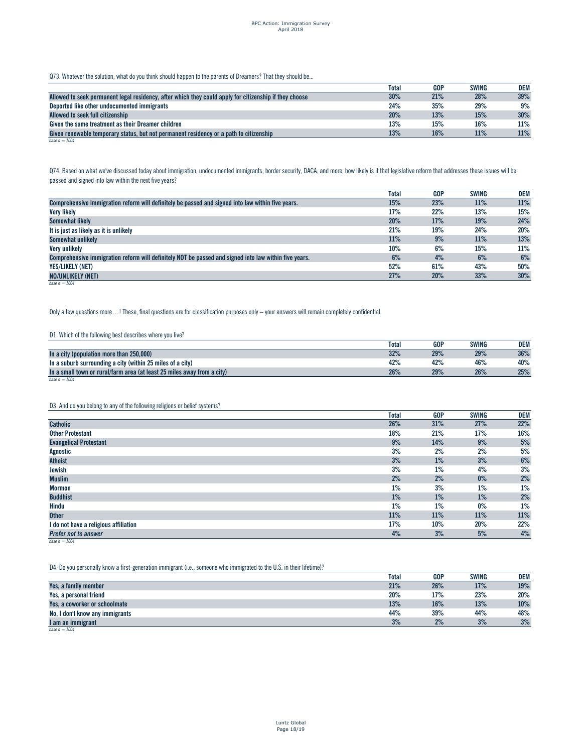Q73. Whatever the solution, what do you think should happen to the parents of Dreamers? That they should be...

|                                                                                                        | Total | GOP | <b>SWING</b> | DEM |
|--------------------------------------------------------------------------------------------------------|-------|-----|--------------|-----|
| Allowed to seek permanent legal residency, after which they could apply for citizenship if they choose | 30%   | 21% | 28%          | 39% |
| Deported like other undocumented immigrants                                                            | 24%   | 35% | 29%          | 9%  |
| Allowed to seek full citizenship                                                                       | 20%   | 13% | 15%          | 30% |
| Given the same treatment as their Dreamer children                                                     | 13%   | 15% | 16%          | 11% |
| Given renewable temporary status, but not permanent residency or a path to citizenship                 | 13%   | 16% | 11%          | 11% |
| base $n = 1004$                                                                                        |       |     |              |     |

Q74. Based on what we've discussed today about immigration, undocumented immigrants, border security, DACA, and more, how likely is it that legislative reform that addresses these issues will be passed and signed into law within the next five years?

|                                                                                                       | <b>Total</b> | <b>GOP</b> | <b>SWING</b> | <b>DEM</b> |
|-------------------------------------------------------------------------------------------------------|--------------|------------|--------------|------------|
| Comprehensive immigration reform will definitely be passed and signed into law within five years.     | 15%          | 23%        | 11%          | 11%        |
| <b>Very likely</b>                                                                                    | 17%          | 22%        | 13%          | 15%        |
| Somewhat likely                                                                                       | 20%          | 17%        | 19%          | 24%        |
| It is just as likely as it is unlikely                                                                | 21%          | 19%        | 24%          | 20%        |
| Somewhat unlikely                                                                                     | 11%          | 9%         | 11%          | 13%        |
| Very unlikely                                                                                         | 10%          | 6%         | 15%          | 11%        |
| Comprehensive immigration reform will definitely NOT be passed and signed into law within five vears. | 6%           | 4%         | 6%           | 6%         |
| <b>YES/LIKELY (NET)</b>                                                                               | 52%          | 61%        | 43%          | 50%        |
| <b>NO/UNLIKELY (NET)</b>                                                                              | 27%          | 20%        | 33%          | 30%        |
| base $n = 1004$                                                                                       |              |            |              |            |

Only a few questions more…! These, final questions are for classification purposes only – your answers will remain completely confidential.

# D1. Which of the following best describes where you live?

|                                                                         | <b>Total</b> | GOP | SWING | <b>DEM</b> |
|-------------------------------------------------------------------------|--------------|-----|-------|------------|
| In a city (population more than 250,000)                                | 32%          | 29% | 29%   | 36%        |
| In a suburb surrounding a city (within 25 miles of a city)              | 42%          | 42% | 46%   | 40%        |
| In a small town or rural/farm area (at least 25 miles away from a city) | 26%          | 29% | 26%   | 25%        |
| base $n = 1004$                                                         |              |     |       |            |

# D3. And do you belong to any of the following religions or belief systems?

|                                       | <b>Total</b> | <b>GOP</b> | <b>SWING</b> | <b>DEM</b> |
|---------------------------------------|--------------|------------|--------------|------------|
| <b>Catholic</b>                       | 26%          | 31%        | 27%          | 22%        |
| <b>Other Protestant</b>               | 18%          | 21%        | 17%          | 16%        |
| <b>Evangelical Protestant</b>         | 9%           | 14%        | 9%           | 5%         |
| Agnostic                              | 3%           | 2%         | 2%           | 5%         |
| <b>Atheist</b>                        | 3%           | 1%         | 3%           | 6%         |
| Jewish                                | 3%           | 1%         | 4%           | 3%         |
| <b>Muslim</b>                         | 2%           | 2%         | $0\%$        | 2%         |
| <b>Mormon</b>                         | 1%           | 3%         | 1%           | 1%         |
| <b>Buddhist</b>                       | 1%           | 1%         | 1%           | 2%         |
| Hindu                                 | $1\%$        | 1%         | $0\%$        | 1%         |
| <b>Other</b>                          | 11%          | 11%        | 11%          | 11%        |
| I do not have a religious affiliation | 17%          | 10%        | 20%          | 22%        |
| Prefer not to answer                  | 4%           | 3%         | 5%           | 4%         |
| base $n = 1004$                       |              |            |              |            |

D4. Do you personally know a first-generation immigrant (i.e., someone who immigrated to the U.S. in their lifetime)?

| 21%<br>26%<br>17%<br>Yes, a family member<br>20%<br>23%<br>17%<br>Yes, a personal friend |                               | <b>Total</b> | <b>GOP</b> | <b>SWING</b> | DEM |
|------------------------------------------------------------------------------------------|-------------------------------|--------------|------------|--------------|-----|
|                                                                                          |                               |              |            |              | 19% |
|                                                                                          |                               |              |            |              | 20% |
|                                                                                          | Yes, a coworker or schoolmate | 13%          | 16%        | 13%          | 10% |
| 44%<br>39%<br>44%<br>No, I don't know any immigrants                                     |                               |              |            |              | 48% |
| 2%<br>3%<br>3%<br>I am an immigrant<br>$L_{222} = 1004$                                  |                               |              |            |              | 3%  |